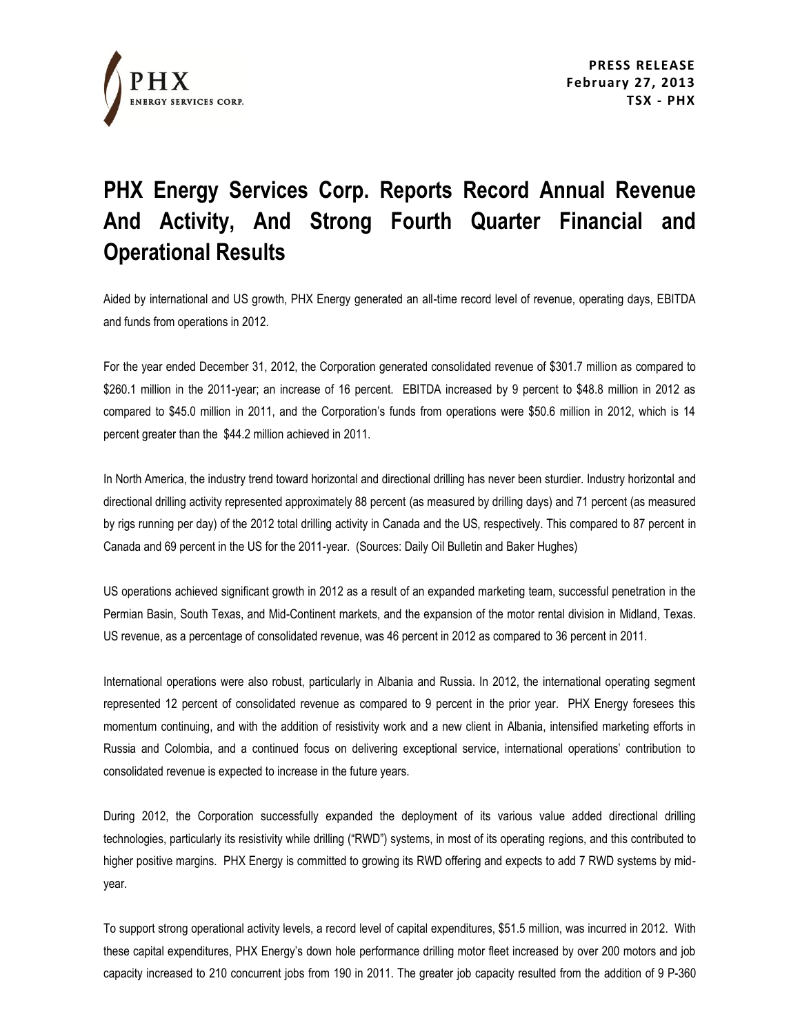

**PRESS RELEASE February 27, 2013 TSX - PHX**

# **PHX Energy Services Corp. Reports Record Annual Revenue And Activity, And Strong Fourth Quarter Financial and Operational Results**

Aided by international and US growth, PHX Energy generated an all-time record level of revenue, operating days, EBITDA and funds from operations in 2012.

For the year ended December 31, 2012, the Corporation generated consolidated revenue of \$301.7 million as compared to \$260.1 million in the 2011-year; an increase of 16 percent. EBITDA increased by 9 percent to \$48.8 million in 2012 as compared to \$45.0 million in 2011, and the Corporation's funds from operations were \$50.6 million in 2012, which is 14 percent greater than the \$44.2 million achieved in 2011.

In North America, the industry trend toward horizontal and directional drilling has never been sturdier. Industry horizontal and directional drilling activity represented approximately 88 percent (as measured by drilling days) and 71 percent (as measured by rigs running per day) of the 2012 total drilling activity in Canada and the US, respectively. This compared to 87 percent in Canada and 69 percent in the US for the 2011-year. (Sources: Daily Oil Bulletin and Baker Hughes)

US operations achieved significant growth in 2012 as a result of an expanded marketing team, successful penetration in the Permian Basin, South Texas, and Mid-Continent markets, and the expansion of the motor rental division in Midland, Texas. US revenue, as a percentage of consolidated revenue, was 46 percent in 2012 as compared to 36 percent in 2011.

International operations were also robust, particularly in Albania and Russia. In 2012, the international operating segment represented 12 percent of consolidated revenue as compared to 9 percent in the prior year. PHX Energy foresees this momentum continuing, and with the addition of resistivity work and a new client in Albania, intensified marketing efforts in Russia and Colombia, and a continued focus on delivering exceptional service, international operations' contribution to consolidated revenue is expected to increase in the future years.

During 2012, the Corporation successfully expanded the deployment of its various value added directional drilling technologies, particularly its resistivity while drilling ("RWD") systems, in most of its operating regions, and this contributed to higher positive margins. PHX Energy is committed to growing its RWD offering and expects to add 7 RWD systems by midyear.

To support strong operational activity levels, a record level of capital expenditures, \$51.5 million, was incurred in 2012. With these capital expenditures, PHX Energy's down hole performance drilling motor fleet increased by over 200 motors and job capacity increased to 210 concurrent jobs from 190 in 2011. The greater job capacity resulted from the addition of 9 P-360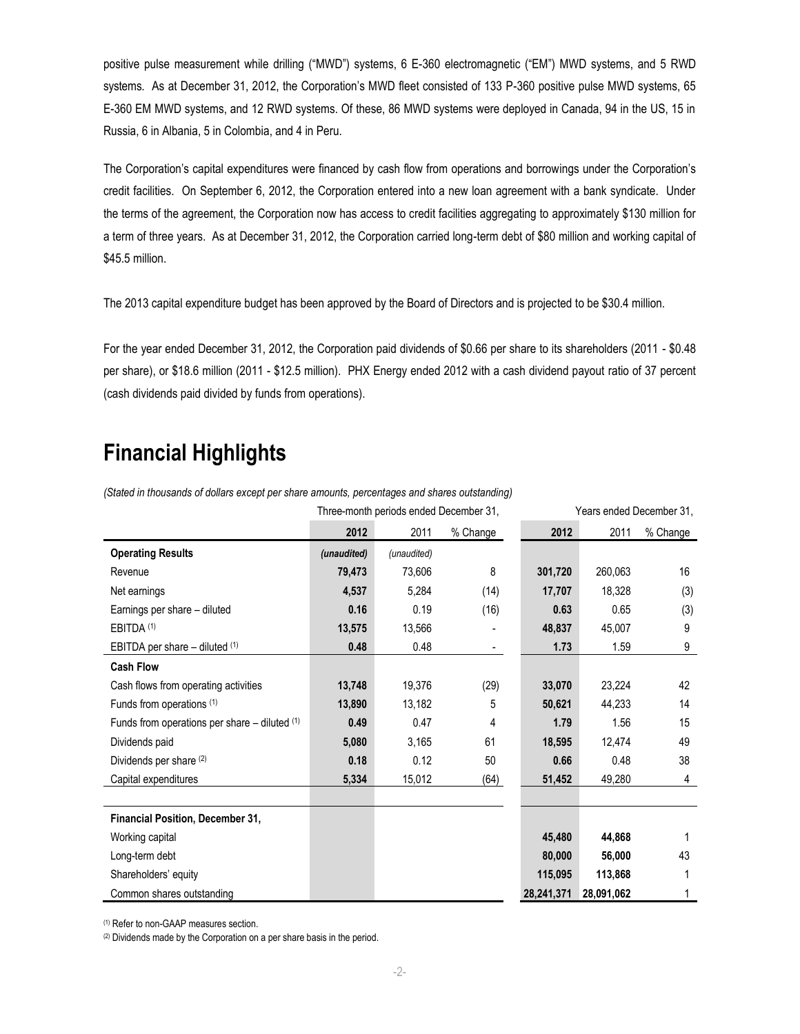positive pulse measurement while drilling ("MWD") systems, 6 E-360 electromagnetic ("EM") MWD systems, and 5 RWD systems. As at December 31, 2012, the Corporation's MWD fleet consisted of 133 P-360 positive pulse MWD systems, 65 E-360 EM MWD systems, and 12 RWD systems. Of these, 86 MWD systems were deployed in Canada, 94 in the US, 15 in Russia, 6 in Albania, 5 in Colombia, and 4 in Peru.

The Corporation's capital expenditures were financed by cash flow from operations and borrowings under the Corporation's credit facilities. On September 6, 2012, the Corporation entered into a new loan agreement with a bank syndicate. Under the terms of the agreement, the Corporation now has access to credit facilities aggregating to approximately \$130 million for a term of three years. As at December 31, 2012, the Corporation carried long-term debt of \$80 million and working capital of \$45.5 million.

The 2013 capital expenditure budget has been approved by the Board of Directors and is projected to be \$30.4 million.

For the year ended December 31, 2012, the Corporation paid dividends of \$0.66 per share to its shareholders (2011 - \$0.48 per share), or \$18.6 million (2011 - \$12.5 million). PHX Energy ended 2012 with a cash dividend payout ratio of 37 percent (cash dividends paid divided by funds from operations).

## **Financial Highlights**

*(Stated in thousands of dollars except per share amounts, percentages and shares outstanding)*

|                                                   |             | Three-month periods ended December 31, |                          |            | Years ended December 31, |          |  |
|---------------------------------------------------|-------------|----------------------------------------|--------------------------|------------|--------------------------|----------|--|
|                                                   | 2012        | 2011                                   | % Change                 | 2012       | 2011                     | % Change |  |
| <b>Operating Results</b>                          | (unaudited) | (unaudited)                            |                          |            |                          |          |  |
| Revenue                                           | 79,473      | 73,606                                 | 8                        | 301,720    | 260,063                  | 16       |  |
| Net earnings                                      | 4,537       | 5,284                                  | (14)                     | 17,707     | 18,328                   | (3)      |  |
| Earnings per share - diluted                      | 0.16        | 0.19                                   | (16)                     | 0.63       | 0.65                     | (3)      |  |
| EBITDA <sup>(1)</sup>                             | 13,575      | 13,566                                 |                          | 48,837     | 45,007                   | 9        |  |
| EBITDA per share $-$ diluted $(1)$                | 0.48        | 0.48                                   | $\overline{\phantom{a}}$ | 1.73       | 1.59                     | 9        |  |
| <b>Cash Flow</b>                                  |             |                                        |                          |            |                          |          |  |
| Cash flows from operating activities              | 13,748      | 19,376                                 | (29)                     | 33,070     | 23,224                   | 42       |  |
| Funds from operations (1)                         | 13,890      | 13,182                                 | 5                        | 50,621     | 44,233                   | 14       |  |
| Funds from operations per share $-$ diluted $(1)$ | 0.49        | 0.47                                   | 4                        | 1.79       | 1.56                     | 15       |  |
| Dividends paid                                    | 5,080       | 3,165                                  | 61                       | 18,595     | 12,474                   | 49       |  |
| Dividends per share (2)                           | 0.18        | 0.12                                   | 50                       | 0.66       | 0.48                     | 38       |  |
| Capital expenditures                              | 5,334       | 15,012                                 | (64)                     | 51,452     | 49,280                   | 4        |  |
|                                                   |             |                                        |                          |            |                          |          |  |
| <b>Financial Position, December 31,</b>           |             |                                        |                          |            |                          |          |  |
| Working capital                                   |             |                                        |                          | 45,480     | 44,868                   |          |  |
| Long-term debt                                    |             |                                        |                          | 80,000     | 56,000                   | 43       |  |
| Shareholders' equity                              |             |                                        |                          | 115,095    | 113,868                  | 1        |  |
| Common shares outstanding                         |             |                                        |                          | 28,241,371 | 28,091,062               | 1        |  |

(1) Refer to non-GAAP measures section.

(2) Dividends made by the Corporation on a per share basis in the period.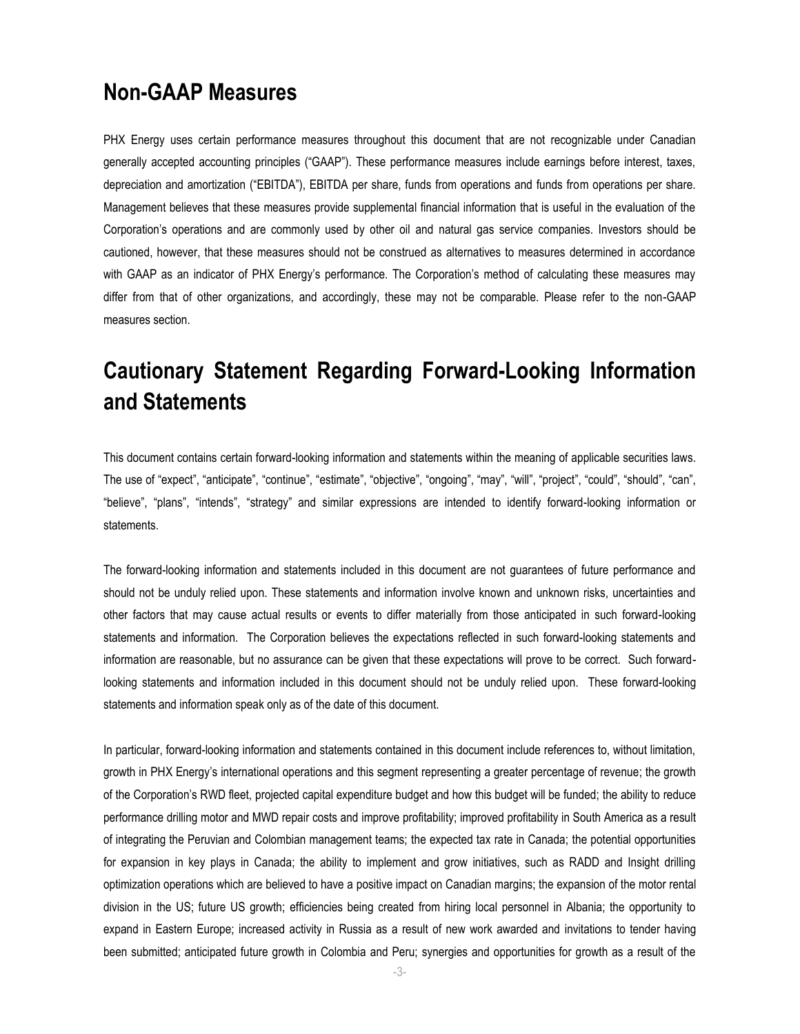#### **Non-GAAP Measures**

PHX Energy uses certain performance measures throughout this document that are not recognizable under Canadian generally accepted accounting principles ("GAAP"). These performance measures include earnings before interest, taxes, depreciation and amortization ("EBITDA"), EBITDA per share, funds from operations and funds from operations per share. Management believes that these measures provide supplemental financial information that is useful in the evaluation of the Corporation's operations and are commonly used by other oil and natural gas service companies. Investors should be cautioned, however, that these measures should not be construed as alternatives to measures determined in accordance with GAAP as an indicator of PHX Energy's performance. The Corporation's method of calculating these measures may differ from that of other organizations, and accordingly, these may not be comparable. Please refer to the non-GAAP measures section.

## **Cautionary Statement Regarding Forward-Looking Information and Statements**

This document contains certain forward-looking information and statements within the meaning of applicable securities laws. The use of "expect", "anticipate", "continue", "estimate", "objective", "ongoing", "may", "will", "project", "could", "should", "can", "believe", "plans", "intends", "strategy" and similar expressions are intended to identify forward-looking information or statements.

The forward-looking information and statements included in this document are not guarantees of future performance and should not be unduly relied upon. These statements and information involve known and unknown risks, uncertainties and other factors that may cause actual results or events to differ materially from those anticipated in such forward-looking statements and information. The Corporation believes the expectations reflected in such forward-looking statements and information are reasonable, but no assurance can be given that these expectations will prove to be correct. Such forwardlooking statements and information included in this document should not be unduly relied upon. These forward-looking statements and information speak only as of the date of this document.

In particular, forward-looking information and statements contained in this document include references to, without limitation, growth in PHX Energy's international operations and this segment representing a greater percentage of revenue; the growth of the Corporation's RWD fleet, projected capital expenditure budget and how this budget will be funded; the ability to reduce performance drilling motor and MWD repair costs and improve profitability; improved profitability in South America as a result of integrating the Peruvian and Colombian management teams; the expected tax rate in Canada; the potential opportunities for expansion in key plays in Canada; the ability to implement and grow initiatives, such as RADD and Insight drilling optimization operations which are believed to have a positive impact on Canadian margins; the expansion of the motor rental division in the US; future US growth; efficiencies being created from hiring local personnel in Albania; the opportunity to expand in Eastern Europe; increased activity in Russia as a result of new work awarded and invitations to tender having been submitted; anticipated future growth in Colombia and Peru; synergies and opportunities for growth as a result of the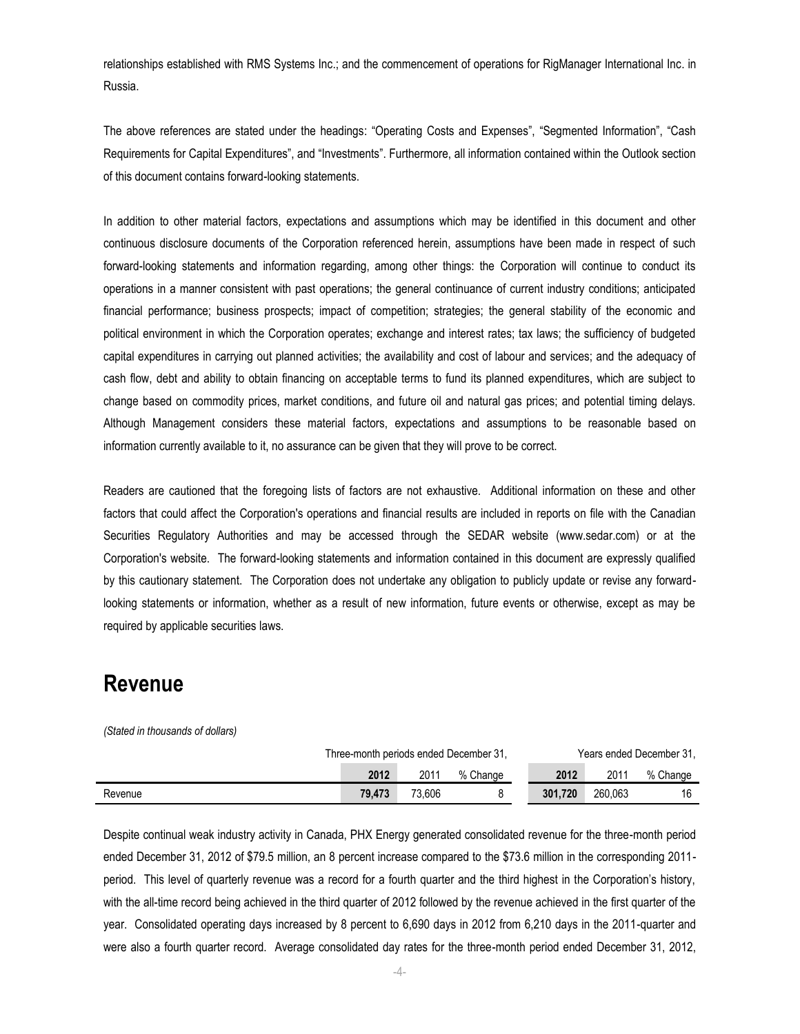relationships established with RMS Systems Inc.; and the commencement of operations for RigManager International Inc. in Russia.

The above references are stated under the headings: "Operating Costs and Expenses", "Segmented Information", "Cash Requirements for Capital Expenditures", and "Investments". Furthermore, all information contained within the Outlook section of this document contains forward-looking statements.

In addition to other material factors, expectations and assumptions which may be identified in this document and other continuous disclosure documents of the Corporation referenced herein, assumptions have been made in respect of such forward-looking statements and information regarding, among other things: the Corporation will continue to conduct its operations in a manner consistent with past operations; the general continuance of current industry conditions; anticipated financial performance; business prospects; impact of competition; strategies; the general stability of the economic and political environment in which the Corporation operates; exchange and interest rates; tax laws; the sufficiency of budgeted capital expenditures in carrying out planned activities; the availability and cost of labour and services; and the adequacy of cash flow, debt and ability to obtain financing on acceptable terms to fund its planned expenditures, which are subject to change based on commodity prices, market conditions, and future oil and natural gas prices; and potential timing delays. Although Management considers these material factors, expectations and assumptions to be reasonable based on information currently available to it, no assurance can be given that they will prove to be correct.

Readers are cautioned that the foregoing lists of factors are not exhaustive. Additional information on these and other factors that could affect the Corporation's operations and financial results are included in reports on file with the Canadian Securities Regulatory Authorities and may be accessed through the SEDAR website (www.sedar.com) or at the Corporation's website. The forward-looking statements and information contained in this document are expressly qualified by this cautionary statement. The Corporation does not undertake any obligation to publicly update or revise any forwardlooking statements or information, whether as a result of new information, future events or otherwise, except as may be required by applicable securities laws.

#### **Revenue**

*(Stated in thousands of dollars)*

|         | Three-month periods ended December 31, |        |          | Years ended December 31, |         |          |
|---------|----------------------------------------|--------|----------|--------------------------|---------|----------|
|         | 2012                                   | 2011   | % Change | 2012                     | 2011    | % Change |
| Revenue | 79.473                                 | 73.606 |          | 301.720                  | 260.063 | 16       |

Despite continual weak industry activity in Canada, PHX Energy generated consolidated revenue for the three-month period ended December 31, 2012 of \$79.5 million, an 8 percent increase compared to the \$73.6 million in the corresponding 2011 period. This level of quarterly revenue was a record for a fourth quarter and the third highest in the Corporation's history, with the all-time record being achieved in the third quarter of 2012 followed by the revenue achieved in the first quarter of the year. Consolidated operating days increased by 8 percent to 6,690 days in 2012 from 6,210 days in the 2011-quarter and were also a fourth quarter record. Average consolidated day rates for the three-month period ended December 31, 2012,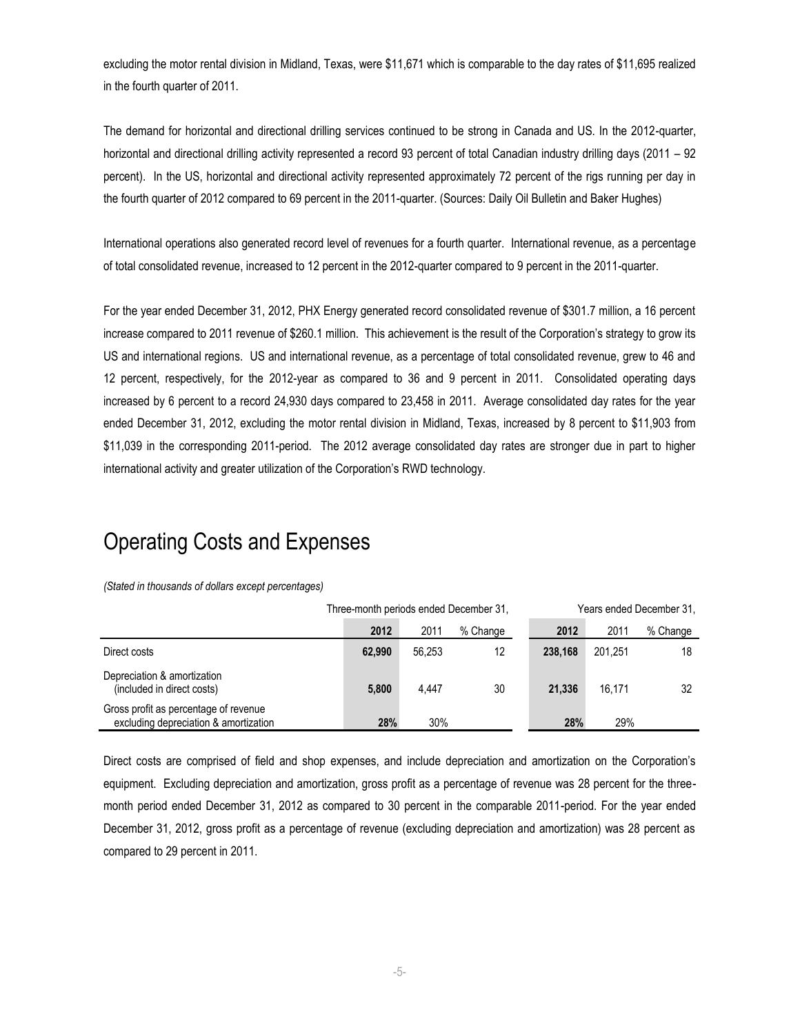excluding the motor rental division in Midland, Texas, were \$11,671 which is comparable to the day rates of \$11,695 realized in the fourth quarter of 2011.

The demand for horizontal and directional drilling services continued to be strong in Canada and US. In the 2012-quarter, horizontal and directional drilling activity represented a record 93 percent of total Canadian industry drilling days (2011 – 92 percent). In the US, horizontal and directional activity represented approximately 72 percent of the rigs running per day in the fourth quarter of 2012 compared to 69 percent in the 2011-quarter. (Sources: Daily Oil Bulletin and Baker Hughes)

International operations also generated record level of revenues for a fourth quarter. International revenue, as a percentage of total consolidated revenue, increased to 12 percent in the 2012-quarter compared to 9 percent in the 2011-quarter.

For the year ended December 31, 2012, PHX Energy generated record consolidated revenue of \$301.7 million, a 16 percent increase compared to 2011 revenue of \$260.1 million. This achievement is the result of the Corporation's strategy to grow its US and international regions. US and international revenue, as a percentage of total consolidated revenue, grew to 46 and 12 percent, respectively, for the 2012-year as compared to 36 and 9 percent in 2011. Consolidated operating days increased by 6 percent to a record 24,930 days compared to 23,458 in 2011. Average consolidated day rates for the year ended December 31, 2012, excluding the motor rental division in Midland, Texas, increased by 8 percent to \$11,903 from \$11,039 in the corresponding 2011-period. The 2012 average consolidated day rates are stronger due in part to higher international activity and greater utilization of the Corporation's RWD technology.

## Operating Costs and Expenses

#### *(Stated in thousands of dollars except percentages)*

|                                                                                | Three-month periods ended December 31, |        |          | Years ended December 31, |         |          |
|--------------------------------------------------------------------------------|----------------------------------------|--------|----------|--------------------------|---------|----------|
|                                                                                | 2012                                   | 2011   | % Change | 2012                     | 2011    | % Change |
| Direct costs                                                                   | 62.990                                 | 56.253 | 12       | 238.168                  | 201.251 | 18       |
| Depreciation & amortization<br>(included in direct costs)                      | 5.800                                  | 4.447  | 30       | 21.336                   | 16.171  | 32       |
| Gross profit as percentage of revenue<br>excluding depreciation & amortization | 28%                                    | 30%    |          | 28%                      | 29%     |          |

Direct costs are comprised of field and shop expenses, and include depreciation and amortization on the Corporation's equipment. Excluding depreciation and amortization, gross profit as a percentage of revenue was 28 percent for the threemonth period ended December 31, 2012 as compared to 30 percent in the comparable 2011-period. For the year ended December 31, 2012, gross profit as a percentage of revenue (excluding depreciation and amortization) was 28 percent as compared to 29 percent in 2011.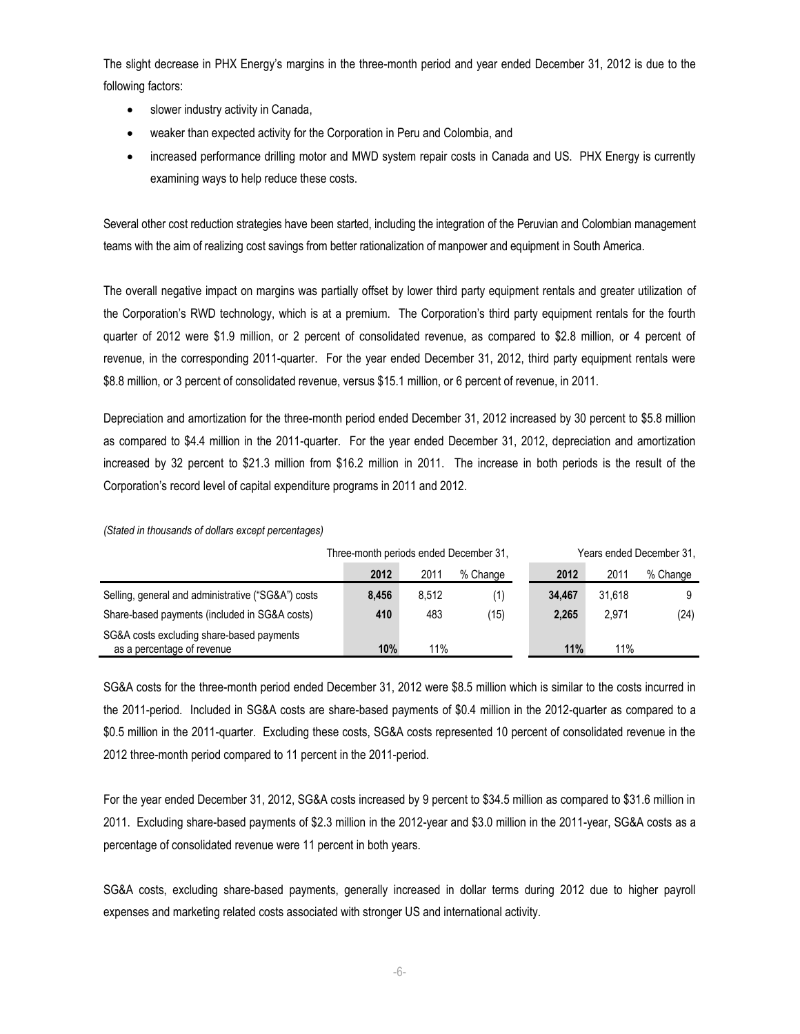The slight decrease in PHX Energy's margins in the three-month period and year ended December 31, 2012 is due to the following factors:

- slower industry activity in Canada,
- weaker than expected activity for the Corporation in Peru and Colombia, and
- increased performance drilling motor and MWD system repair costs in Canada and US. PHX Energy is currently examining ways to help reduce these costs.

Several other cost reduction strategies have been started, including the integration of the Peruvian and Colombian management teams with the aim of realizing cost savings from better rationalization of manpower and equipment in South America.

The overall negative impact on margins was partially offset by lower third party equipment rentals and greater utilization of the Corporation's RWD technology, which is at a premium. The Corporation's third party equipment rentals for the fourth quarter of 2012 were \$1.9 million, or 2 percent of consolidated revenue, as compared to \$2.8 million, or 4 percent of revenue, in the corresponding 2011-quarter. For the year ended December 31, 2012, third party equipment rentals were \$8.8 million, or 3 percent of consolidated revenue, versus \$15.1 million, or 6 percent of revenue, in 2011.

Depreciation and amortization for the three-month period ended December 31, 2012 increased by 30 percent to \$5.8 million as compared to \$4.4 million in the 2011-quarter. For the year ended December 31, 2012, depreciation and amortization increased by 32 percent to \$21.3 million from \$16.2 million in 2011. The increase in both periods is the result of the Corporation's record level of capital expenditure programs in 2011 and 2012.

|                                                    | Three-month periods ended December 31, |       |          | Years ended December 31, |        |          |
|----------------------------------------------------|----------------------------------------|-------|----------|--------------------------|--------|----------|
|                                                    | 2012                                   | 2011  | % Change | 2012                     | 2011   | % Change |
| Selling, general and administrative ("SG&A") costs | 8.456                                  | 8.512 | (1)      | 34.467                   | 31.618 | 9        |
| Share-based payments (included in SG&A costs)      | 410                                    | 483   | (15)     | 2.265                    | 2.971  | (24)     |
| SG&A costs excluding share-based payments          |                                        |       |          |                          |        |          |
| as a percentage of revenue                         | 10%                                    | 11%   |          | 11%                      | 11%    |          |

*(Stated in thousands of dollars except percentages)*

SG&A costs for the three-month period ended December 31, 2012 were \$8.5 million which is similar to the costs incurred in the 2011-period. Included in SG&A costs are share-based payments of \$0.4 million in the 2012-quarter as compared to a \$0.5 million in the 2011-quarter. Excluding these costs, SG&A costs represented 10 percent of consolidated revenue in the 2012 three-month period compared to 11 percent in the 2011-period.

For the year ended December 31, 2012, SG&A costs increased by 9 percent to \$34.5 million as compared to \$31.6 million in 2011. Excluding share-based payments of \$2.3 million in the 2012-year and \$3.0 million in the 2011-year, SG&A costs as a percentage of consolidated revenue were 11 percent in both years.

SG&A costs, excluding share-based payments, generally increased in dollar terms during 2012 due to higher payroll expenses and marketing related costs associated with stronger US and international activity.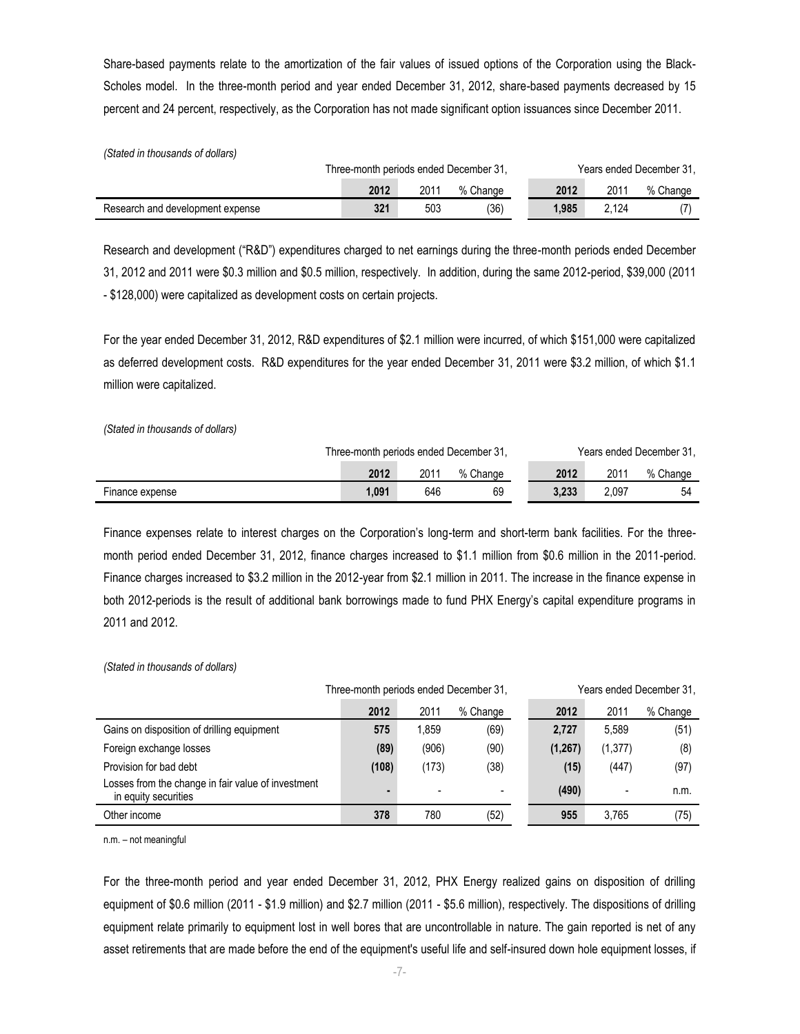Share-based payments relate to the amortization of the fair values of issued options of the Corporation using the Black-Scholes model. In the three-month period and year ended December 31, 2012, share-based payments decreased by 15 percent and 24 percent, respectively, as the Corporation has not made significant option issuances since December 2011.

*(Stated in thousands of dollars)*

|                                  | Three-month periods ended December 31, |               |          |       | Years ended December 31, |          |  |
|----------------------------------|----------------------------------------|---------------|----------|-------|--------------------------|----------|--|
|                                  | 2012                                   | $201^{\circ}$ | % Change | 2012  | 2011                     | % Change |  |
| Research and development expense | 321                                    | 503           | (36)     | 1.985 | 2.124                    |          |  |

Research and development ("R&D") expenditures charged to net earnings during the three-month periods ended December 31, 2012 and 2011 were \$0.3 million and \$0.5 million, respectively. In addition, during the same 2012-period, \$39,000 (2011 - \$128,000) were capitalized as development costs on certain projects.

For the year ended December 31, 2012, R&D expenditures of \$2.1 million were incurred, of which \$151,000 were capitalized as deferred development costs. R&D expenditures for the year ended December 31, 2011 were \$3.2 million, of which \$1.1 million were capitalized.

*(Stated in thousands of dollars)*

|                 | Three-month periods ended December 31. |               |          | Years ended December 31, |       |          |
|-----------------|----------------------------------------|---------------|----------|--------------------------|-------|----------|
|                 | 2012                                   | $201^{\circ}$ | % Change | 2012                     | 2011  | % Change |
| Finance expense | .091                                   | 646           | 69       | 3.233                    | 2.097 | 54       |

Finance expenses relate to interest charges on the Corporation's long-term and short-term bank facilities. For the threemonth period ended December 31, 2012, finance charges increased to \$1.1 million from \$0.6 million in the 2011-period. Finance charges increased to \$3.2 million in the 2012-year from \$2.1 million in 2011. The increase in the finance expense in both 2012-periods is the result of additional bank borrowings made to fund PHX Energy's capital expenditure programs in 2011 and 2012.

#### *(Stated in thousands of dollars)*

|                                                                            |       |       | Three-month periods ended December 31, |          | Years ended December 31, |          |  |
|----------------------------------------------------------------------------|-------|-------|----------------------------------------|----------|--------------------------|----------|--|
|                                                                            | 2012  | 2011  | % Change                               | 2012     | 2011                     | % Change |  |
| Gains on disposition of drilling equipment                                 | 575   | 1.859 | (69)                                   | 2,727    | 5.589                    | (51)     |  |
| Foreign exchange losses                                                    | (89)  | (906) | (90)                                   | (1, 267) | (1, 377)                 | (8)      |  |
| Provision for bad debt                                                     | (108) | (173) | (38)                                   | (15)     | (447)                    | (97)     |  |
| Losses from the change in fair value of investment<br>in equity securities | ۰     |       | -                                      | (490)    |                          | n.m.     |  |
| Other income                                                               | 378   | 780   | (52)                                   | 955      | 3.765                    | (75)     |  |

n.m. – not meaningful

For the three-month period and year ended December 31, 2012, PHX Energy realized gains on disposition of drilling equipment of \$0.6 million (2011 - \$1.9 million) and \$2.7 million (2011 - \$5.6 million), respectively. The dispositions of drilling equipment relate primarily to equipment lost in well bores that are uncontrollable in nature. The gain reported is net of any asset retirements that are made before the end of the equipment's useful life and self-insured down hole equipment losses, if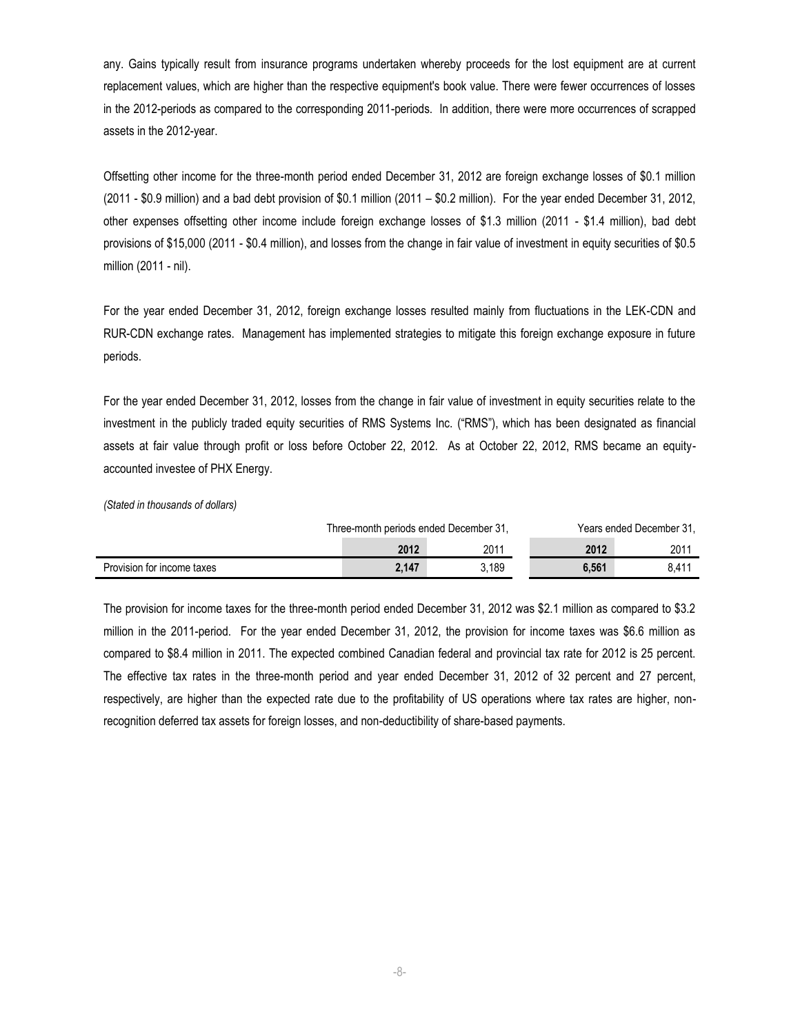any. Gains typically result from insurance programs undertaken whereby proceeds for the lost equipment are at current replacement values, which are higher than the respective equipment's book value. There were fewer occurrences of losses in the 2012-periods as compared to the corresponding 2011-periods. In addition, there were more occurrences of scrapped assets in the 2012-year.

Offsetting other income for the three-month period ended December 31, 2012 are foreign exchange losses of \$0.1 million (2011 - \$0.9 million) and a bad debt provision of \$0.1 million (2011 – \$0.2 million). For the year ended December 31, 2012, other expenses offsetting other income include foreign exchange losses of \$1.3 million (2011 - \$1.4 million), bad debt provisions of \$15,000 (2011 - \$0.4 million), and losses from the change in fair value of investment in equity securities of \$0.5 million (2011 - nil).

For the year ended December 31, 2012, foreign exchange losses resulted mainly from fluctuations in the LEK-CDN and RUR-CDN exchange rates. Management has implemented strategies to mitigate this foreign exchange exposure in future periods.

For the year ended December 31, 2012, losses from the change in fair value of investment in equity securities relate to the investment in the publicly traded equity securities of RMS Systems Inc. ("RMS"), which has been designated as financial assets at fair value through profit or loss before October 22, 2012. As at October 22, 2012, RMS became an equityaccounted investee of PHX Energy.

*(Stated in thousands of dollars)*

|                            |       | Three-month periods ended December 31, | Years ended December 31, |       |  |
|----------------------------|-------|----------------------------------------|--------------------------|-------|--|
|                            | 2012  | 2011                                   | 2012                     | 2011  |  |
| Provision for income taxes | 2.147 | 3.189                                  | 6.561                    | 8.411 |  |

The provision for income taxes for the three-month period ended December 31, 2012 was \$2.1 million as compared to \$3.2 million in the 2011-period. For the year ended December 31, 2012, the provision for income taxes was \$6.6 million as compared to \$8.4 million in 2011. The expected combined Canadian federal and provincial tax rate for 2012 is 25 percent. The effective tax rates in the three-month period and year ended December 31, 2012 of 32 percent and 27 percent, respectively, are higher than the expected rate due to the profitability of US operations where tax rates are higher, nonrecognition deferred tax assets for foreign losses, and non-deductibility of share-based payments.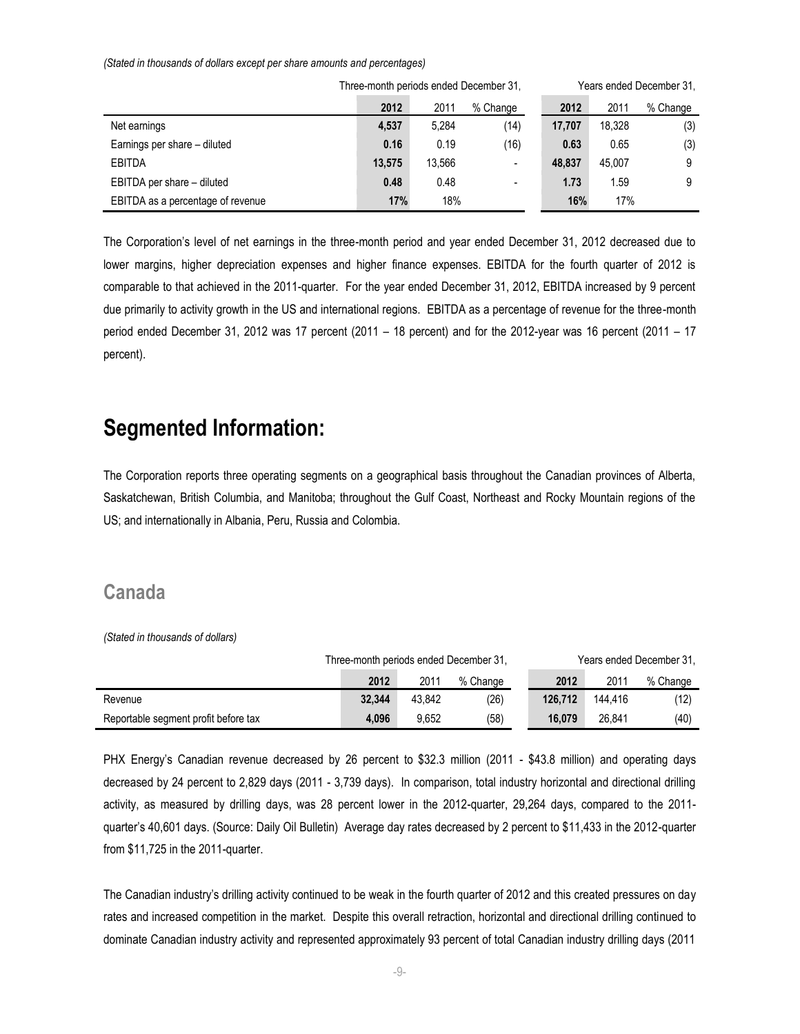*(Stated in thousands of dollars except per share amounts and percentages)*

|                                   |        |        | Trilee-month periods ended December 3T. | rears ended December 31. |        |          |
|-----------------------------------|--------|--------|-----------------------------------------|--------------------------|--------|----------|
|                                   | 2012   | 2011   | % Change                                | 2012                     | 2011   | % Change |
| Net earnings                      | 4,537  | 5.284  | (14)                                    | 17,707                   | 18.328 | (3)      |
| Earnings per share - diluted      | 0.16   | 0.19   | (16)                                    | 0.63                     | 0.65   | (3)      |
| <b>EBITDA</b>                     | 13,575 | 13.566 | ۰.                                      | 48.837                   | 45.007 | 9        |
| EBITDA per share - diluted        | 0.48   | 0.48   | ٠                                       | 1.73                     | 1.59   | 9        |
| EBITDA as a percentage of revenue | 17%    | 18%    |                                         | 16%                      | 17%    |          |

Three-month periods ended December 31, Years ended December 31,

The Corporation's level of net earnings in the three-month period and year ended December 31, 2012 decreased due to lower margins, higher depreciation expenses and higher finance expenses. EBITDA for the fourth quarter of 2012 is comparable to that achieved in the 2011-quarter. For the year ended December 31, 2012, EBITDA increased by 9 percent due primarily to activity growth in the US and international regions. EBITDA as a percentage of revenue for the three-month period ended December 31, 2012 was 17 percent (2011 – 18 percent) and for the 2012-year was 16 percent (2011 – 17 percent).

### **Segmented Information:**

The Corporation reports three operating segments on a geographical basis throughout the Canadian provinces of Alberta, Saskatchewan, British Columbia, and Manitoba; throughout the Gulf Coast, Northeast and Rocky Mountain regions of the US; and internationally in Albania, Peru, Russia and Colombia.

#### **Canada**

*(Stated in thousands of dollars)*

|                                      | Three-month periods ended December 31, |        |          |         | Years ended December 31. |          |  |
|--------------------------------------|----------------------------------------|--------|----------|---------|--------------------------|----------|--|
|                                      | 2012                                   | 2011   | % Change | 2012    | 2011                     | % Change |  |
| Revenue                              | 32,344                                 | 43.842 | (26)     | 126.712 | 144.416                  | (12)     |  |
| Reportable segment profit before tax | 4.096                                  | 9.652  | (58)     | 16.079  | 26.841                   | (40)     |  |

PHX Energy's Canadian revenue decreased by 26 percent to \$32.3 million (2011 - \$43.8 million) and operating days decreased by 24 percent to 2,829 days (2011 - 3,739 days). In comparison, total industry horizontal and directional drilling activity, as measured by drilling days, was 28 percent lower in the 2012-quarter, 29,264 days, compared to the 2011 quarter's 40,601 days. (Source: Daily Oil Bulletin) Average day rates decreased by 2 percent to \$11,433 in the 2012-quarter from \$11,725 in the 2011-quarter.

The Canadian industry's drilling activity continued to be weak in the fourth quarter of 2012 and this created pressures on day rates and increased competition in the market. Despite this overall retraction, horizontal and directional drilling continued to dominate Canadian industry activity and represented approximately 93 percent of total Canadian industry drilling days (2011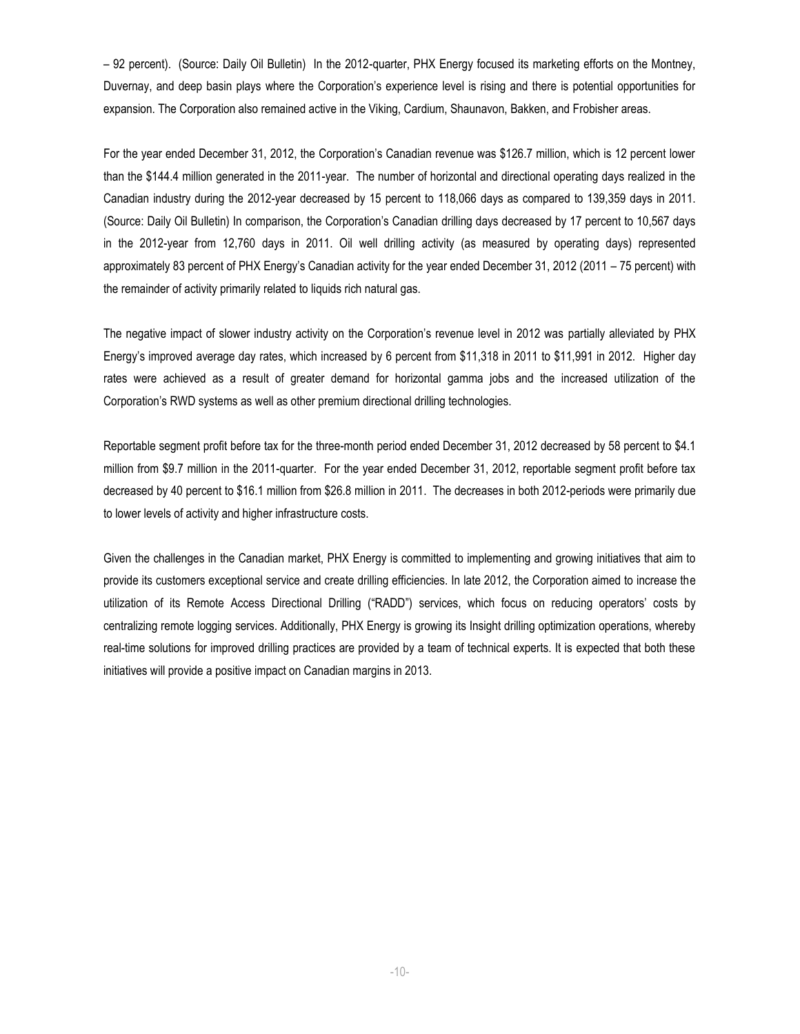– 92 percent). (Source: Daily Oil Bulletin) In the 2012-quarter, PHX Energy focused its marketing efforts on the Montney, Duvernay, and deep basin plays where the Corporation's experience level is rising and there is potential opportunities for expansion. The Corporation also remained active in the Viking, Cardium, Shaunavon, Bakken, and Frobisher areas.

For the year ended December 31, 2012, the Corporation's Canadian revenue was \$126.7 million, which is 12 percent lower than the \$144.4 million generated in the 2011-year. The number of horizontal and directional operating days realized in the Canadian industry during the 2012-year decreased by 15 percent to 118,066 days as compared to 139,359 days in 2011. (Source: Daily Oil Bulletin) In comparison, the Corporation's Canadian drilling days decreased by 17 percent to 10,567 days in the 2012-year from 12,760 days in 2011. Oil well drilling activity (as measured by operating days) represented approximately 83 percent of PHX Energy's Canadian activity for the year ended December 31, 2012 (2011 – 75 percent) with the remainder of activity primarily related to liquids rich natural gas.

The negative impact of slower industry activity on the Corporation's revenue level in 2012 was partially alleviated by PHX Energy's improved average day rates, which increased by 6 percent from \$11,318 in 2011 to \$11,991 in 2012. Higher day rates were achieved as a result of greater demand for horizontal gamma jobs and the increased utilization of the Corporation's RWD systems as well as other premium directional drilling technologies.

Reportable segment profit before tax for the three-month period ended December 31, 2012 decreased by 58 percent to \$4.1 million from \$9.7 million in the 2011-quarter. For the year ended December 31, 2012, reportable segment profit before tax decreased by 40 percent to \$16.1 million from \$26.8 million in 2011. The decreases in both 2012-periods were primarily due to lower levels of activity and higher infrastructure costs.

Given the challenges in the Canadian market, PHX Energy is committed to implementing and growing initiatives that aim to provide its customers exceptional service and create drilling efficiencies. In late 2012, the Corporation aimed to increase the utilization of its Remote Access Directional Drilling ("RADD") services, which focus on reducing operators' costs by centralizing remote logging services. Additionally, PHX Energy is growing its Insight drilling optimization operations, whereby real-time solutions for improved drilling practices are provided by a team of technical experts. It is expected that both these initiatives will provide a positive impact on Canadian margins in 2013.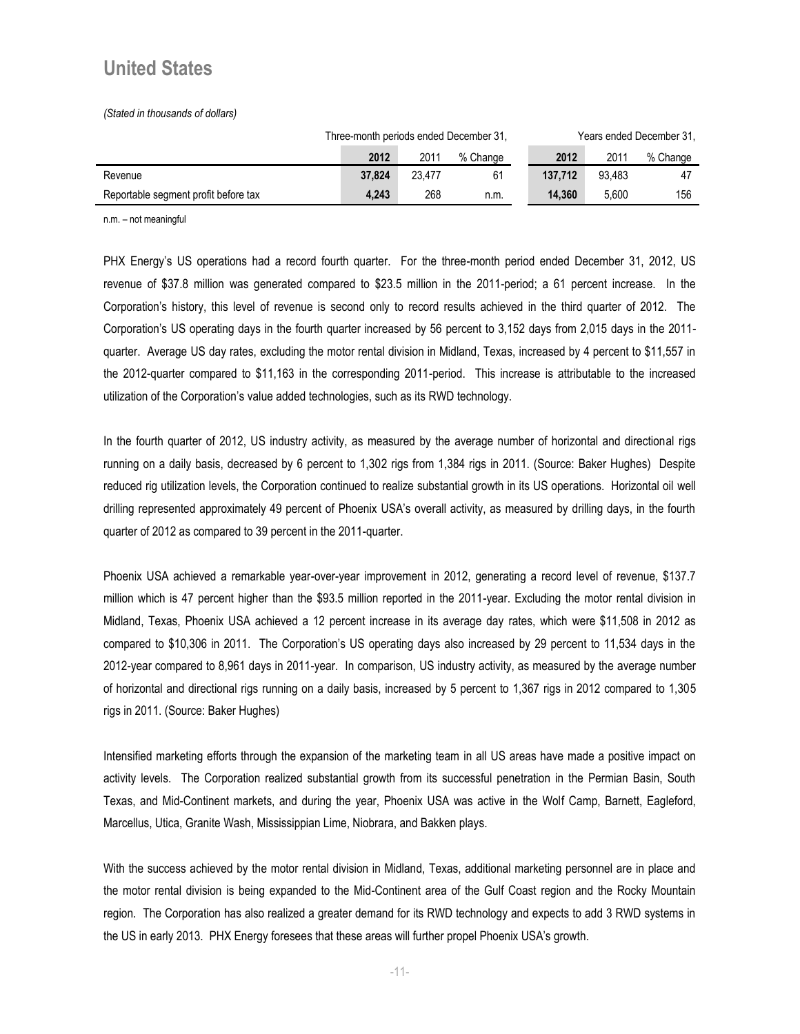#### **United States**

*(Stated in thousands of dollars)*

|                                      | Three-month periods ended December 31, |                |          |         | Years ended December 31, |          |  |  |
|--------------------------------------|----------------------------------------|----------------|----------|---------|--------------------------|----------|--|--|
|                                      | 2012                                   | 201 $^{\circ}$ | % Change | 2012    | 2011                     | % Change |  |  |
| Revenue                              | 37.824                                 | 23.477         | 61       | 137.712 | 93.483                   | 47       |  |  |
| Reportable segment profit before tax | 4.243                                  | 268            | n.m.     | 14.360  | 5.600                    | 156      |  |  |

n.m. – not meaningful

PHX Energy's US operations had a record fourth quarter. For the three-month period ended December 31, 2012, US revenue of \$37.8 million was generated compared to \$23.5 million in the 2011-period; a 61 percent increase. In the Corporation's history, this level of revenue is second only to record results achieved in the third quarter of 2012. The Corporation's US operating days in the fourth quarter increased by 56 percent to 3,152 days from 2,015 days in the 2011 quarter. Average US day rates, excluding the motor rental division in Midland, Texas, increased by 4 percent to \$11,557 in the 2012-quarter compared to \$11,163 in the corresponding 2011-period. This increase is attributable to the increased utilization of the Corporation's value added technologies, such as its RWD technology.

In the fourth quarter of 2012, US industry activity, as measured by the average number of horizontal and directional rigs running on a daily basis, decreased by 6 percent to 1,302 rigs from 1,384 rigs in 2011. (Source: Baker Hughes) Despite reduced rig utilization levels, the Corporation continued to realize substantial growth in its US operations. Horizontal oil well drilling represented approximately 49 percent of Phoenix USA's overall activity, as measured by drilling days, in the fourth quarter of 2012 as compared to 39 percent in the 2011-quarter.

Phoenix USA achieved a remarkable year-over-year improvement in 2012, generating a record level of revenue, \$137.7 million which is 47 percent higher than the \$93.5 million reported in the 2011-year. Excluding the motor rental division in Midland, Texas, Phoenix USA achieved a 12 percent increase in its average day rates, which were \$11,508 in 2012 as compared to \$10,306 in 2011. The Corporation's US operating days also increased by 29 percent to 11,534 days in the 2012-year compared to 8,961 days in 2011-year. In comparison, US industry activity, as measured by the average number of horizontal and directional rigs running on a daily basis, increased by 5 percent to 1,367 rigs in 2012 compared to 1,305 rigs in 2011. (Source: Baker Hughes)

Intensified marketing efforts through the expansion of the marketing team in all US areas have made a positive impact on activity levels. The Corporation realized substantial growth from its successful penetration in the Permian Basin, South Texas, and Mid-Continent markets, and during the year, Phoenix USA was active in the Wolf Camp, Barnett, Eagleford, Marcellus, Utica, Granite Wash, Mississippian Lime, Niobrara, and Bakken plays.

With the success achieved by the motor rental division in Midland, Texas, additional marketing personnel are in place and the motor rental division is being expanded to the Mid-Continent area of the Gulf Coast region and the Rocky Mountain region. The Corporation has also realized a greater demand for its RWD technology and expects to add 3 RWD systems in the US in early 2013. PHX Energy foresees that these areas will further propel Phoenix USA's growth.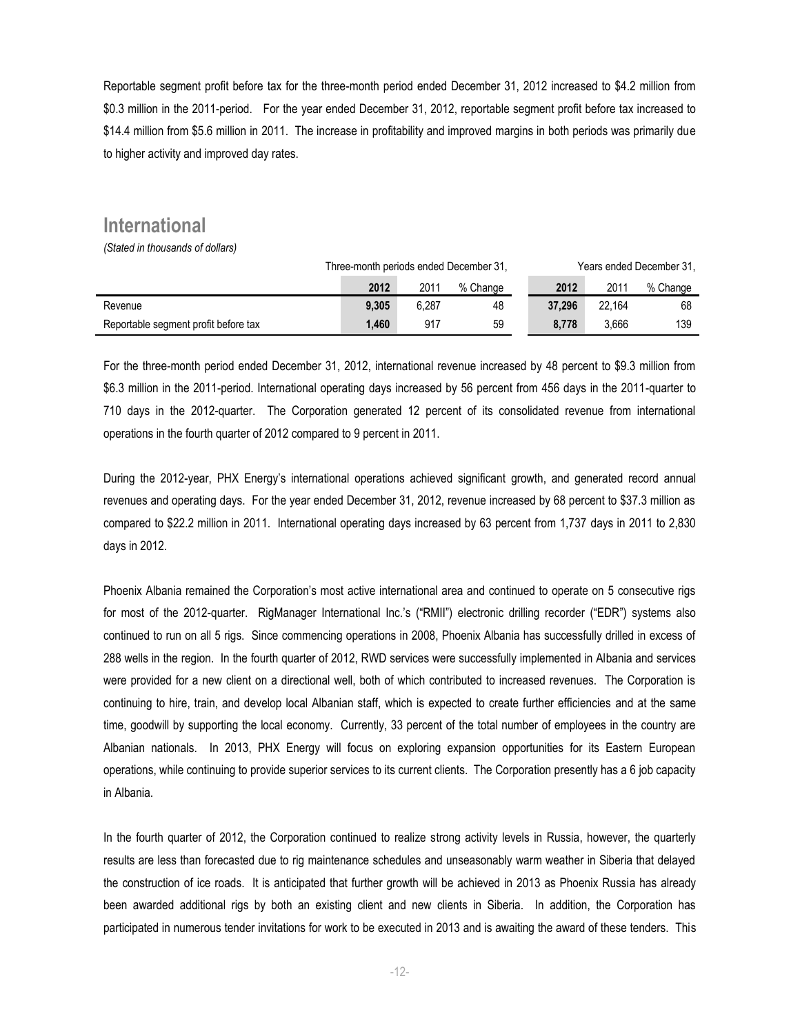Reportable segment profit before tax for the three-month period ended December 31, 2012 increased to \$4.2 million from \$0.3 million in the 2011-period. For the year ended December 31, 2012, reportable segment profit before tax increased to \$14.4 million from \$5.6 million in 2011. The increase in profitability and improved margins in both periods was primarily due to higher activity and improved day rates.

#### **International**

*(Stated in thousands of dollars)*

|                                      | Three-month periods ended December 31, |       |          | Years ended December 31, |        |          |  |
|--------------------------------------|----------------------------------------|-------|----------|--------------------------|--------|----------|--|
|                                      | 2012                                   | 201'  | % Change | 2012                     | 2011   | % Change |  |
| Revenue                              | 9.305                                  | 6.287 | 48       | 37.296                   | 22.164 | 68       |  |
| Reportable segment profit before tax | 1.460                                  | 917   | 59       | 8.778                    | 3.666  | 139      |  |

For the three-month period ended December 31, 2012, international revenue increased by 48 percent to \$9.3 million from \$6.3 million in the 2011-period. International operating days increased by 56 percent from 456 days in the 2011-quarter to 710 days in the 2012-quarter. The Corporation generated 12 percent of its consolidated revenue from international operations in the fourth quarter of 2012 compared to 9 percent in 2011.

During the 2012-year, PHX Energy's international operations achieved significant growth, and generated record annual revenues and operating days. For the year ended December 31, 2012, revenue increased by 68 percent to \$37.3 million as compared to \$22.2 million in 2011. International operating days increased by 63 percent from 1,737 days in 2011 to 2,830 days in 2012.

Phoenix Albania remained the Corporation's most active international area and continued to operate on 5 consecutive rigs for most of the 2012-quarter. RigManager International Inc.'s ("RMII") electronic drilling recorder ("EDR") systems also continued to run on all 5 rigs. Since commencing operations in 2008, Phoenix Albania has successfully drilled in excess of 288 wells in the region. In the fourth quarter of 2012, RWD services were successfully implemented in Albania and services were provided for a new client on a directional well, both of which contributed to increased revenues. The Corporation is continuing to hire, train, and develop local Albanian staff, which is expected to create further efficiencies and at the same time, goodwill by supporting the local economy. Currently, 33 percent of the total number of employees in the country are Albanian nationals. In 2013, PHX Energy will focus on exploring expansion opportunities for its Eastern European operations, while continuing to provide superior services to its current clients. The Corporation presently has a 6 job capacity in Albania.

In the fourth quarter of 2012, the Corporation continued to realize strong activity levels in Russia, however, the quarterly results are less than forecasted due to rig maintenance schedules and unseasonably warm weather in Siberia that delayed the construction of ice roads. It is anticipated that further growth will be achieved in 2013 as Phoenix Russia has already been awarded additional rigs by both an existing client and new clients in Siberia. In addition, the Corporation has participated in numerous tender invitations for work to be executed in 2013 and is awaiting the award of these tenders. This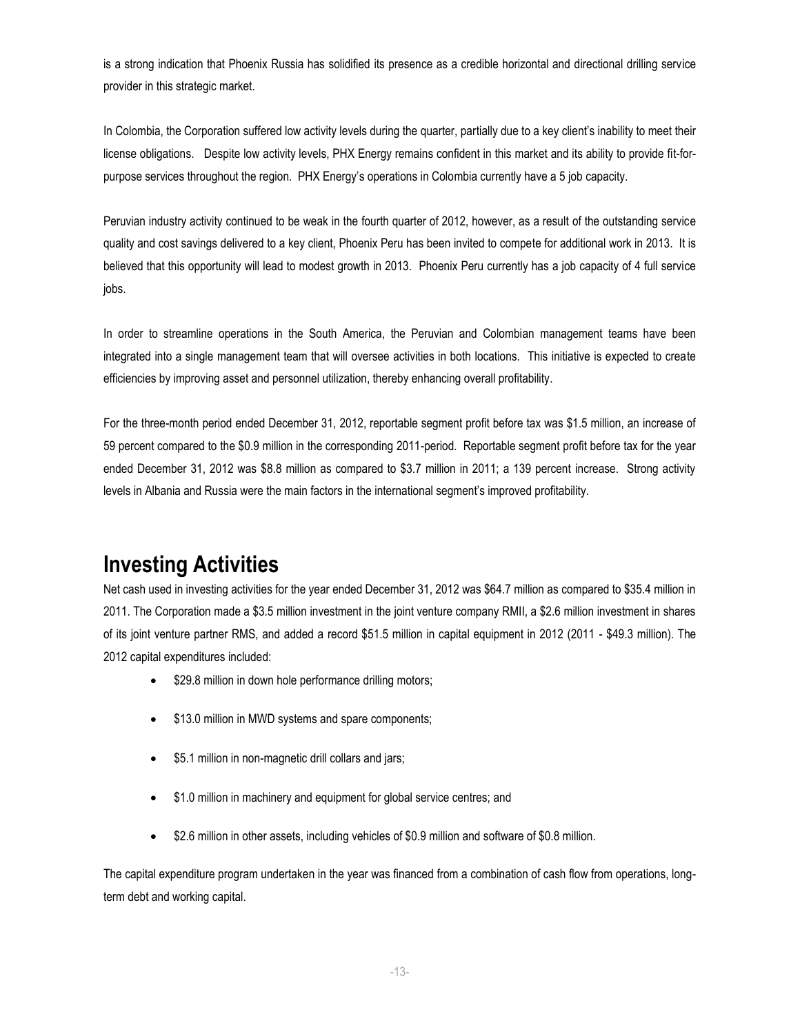is a strong indication that Phoenix Russia has solidified its presence as a credible horizontal and directional drilling service provider in this strategic market.

In Colombia, the Corporation suffered low activity levels during the quarter, partially due to a key client's inability to meet their license obligations. Despite low activity levels, PHX Energy remains confident in this market and its ability to provide fit-forpurpose services throughout the region. PHX Energy's operations in Colombia currently have a 5 job capacity.

Peruvian industry activity continued to be weak in the fourth quarter of 2012, however, as a result of the outstanding service quality and cost savings delivered to a key client, Phoenix Peru has been invited to compete for additional work in 2013. It is believed that this opportunity will lead to modest growth in 2013. Phoenix Peru currently has a job capacity of 4 full service jobs.

In order to streamline operations in the South America, the Peruvian and Colombian management teams have been integrated into a single management team that will oversee activities in both locations. This initiative is expected to create efficiencies by improving asset and personnel utilization, thereby enhancing overall profitability.

For the three-month period ended December 31, 2012, reportable segment profit before tax was \$1.5 million, an increase of 59 percent compared to the \$0.9 million in the corresponding 2011-period. Reportable segment profit before tax for the year ended December 31, 2012 was \$8.8 million as compared to \$3.7 million in 2011; a 139 percent increase. Strong activity levels in Albania and Russia were the main factors in the international segment's improved profitability.

### **Investing Activities**

Net cash used in investing activities for the year ended December 31, 2012 was \$64.7 million as compared to \$35.4 million in 2011. The Corporation made a \$3.5 million investment in the joint venture company RMII, a \$2.6 million investment in shares of its joint venture partner RMS, and added a record \$51.5 million in capital equipment in 2012 (2011 - \$49.3 million). The 2012 capital expenditures included:

- \$29.8 million in down hole performance drilling motors;
- \$13.0 million in MWD systems and spare components;
- \$5.1 million in non-magnetic drill collars and jars;
- \$1.0 million in machinery and equipment for global service centres; and
- \$2.6 million in other assets, including vehicles of \$0.9 million and software of \$0.8 million.

The capital expenditure program undertaken in the year was financed from a combination of cash flow from operations, longterm debt and working capital.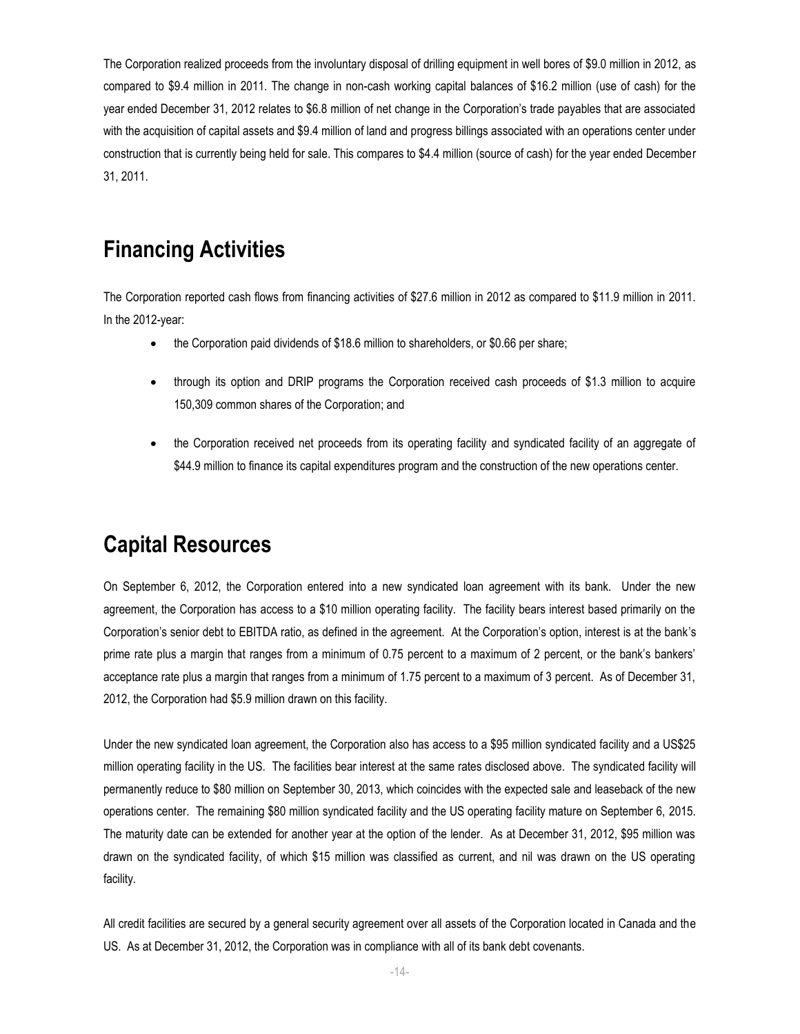The Corporation realized proceeds from the involuntary disposal of drilling equipment in well bores of \$9.0 million in 2012, as compared to \$9.4 million in 2011. The change in non-cash working capital balances of \$16.2 million (use of cash) for the year ended December 31, 2012 relates to \$6.8 million of net change in the Corporation's trade payables that are associated with the acquisition of capital assets and \$9.4 million of land and progress billings associated with an operations center under construction that is currently being held for sale. This compares to \$4.4 million (source of cash) for the year ended December 31, 2011.

## **Financing Activities**

The Corporation reported cash flows from financing activities of \$27.6 million in 2012 as compared to \$11.9 million in 2011. In the 2012-year:

- the Corporation paid dividends of \$18.6 million to shareholders, or \$0.66 per share;
- through its option and DRIP programs the Corporation received cash proceeds of \$1.3 million to acquire 150,309 common shares of the Corporation; and
- the Corporation received net proceeds from its operating facility and syndicated facility of an aggregate of \$44.9 million to finance its capital expenditures program and the construction of the new operations center.

### **Capital Resources**

On September 6, 2012, the Corporation entered into a new syndicated loan agreement with its bank. Under the new agreement, the Corporation has access to a \$10 million operating facility. The facility bears interest based primarily on the Corporation's senior debt to EBITDA ratio, as defined in the agreement. At the Corporation's option, interest is at the bank's prime rate plus a margin that ranges from a minimum of 0.75 percent to a maximum of 2 percent, or the bank's bankers' acceptance rate plus a margin that ranges from a minimum of 1.75 percent to a maximum of 3 percent. As of December 31, 2012, the Corporation had \$5.9 million drawn on this facility.

Under the new syndicated loan agreement, the Corporation also has access to a \$95 million syndicated facility and a US\$25 million operating facility in the US. The facilities bear interest at the same rates disclosed above. The syndicated facility will permanently reduce to \$80 million on September 30, 2013, which coincides with the expected sale and leaseback of the new operations center. The remaining \$80 million syndicated facility and the US operating facility mature on September 6, 2015. The maturity date can be extended for another year at the option of the lender. As at December 31, 2012, \$95 million was drawn on the syndicated facility, of which \$15 million was classified as current, and nil was drawn on the US operating facility.

All credit facilities are secured by a general security agreement over all assets of the Corporation located in Canada and the US. As at December 31, 2012, the Corporation was in compliance with all of its bank debt covenants.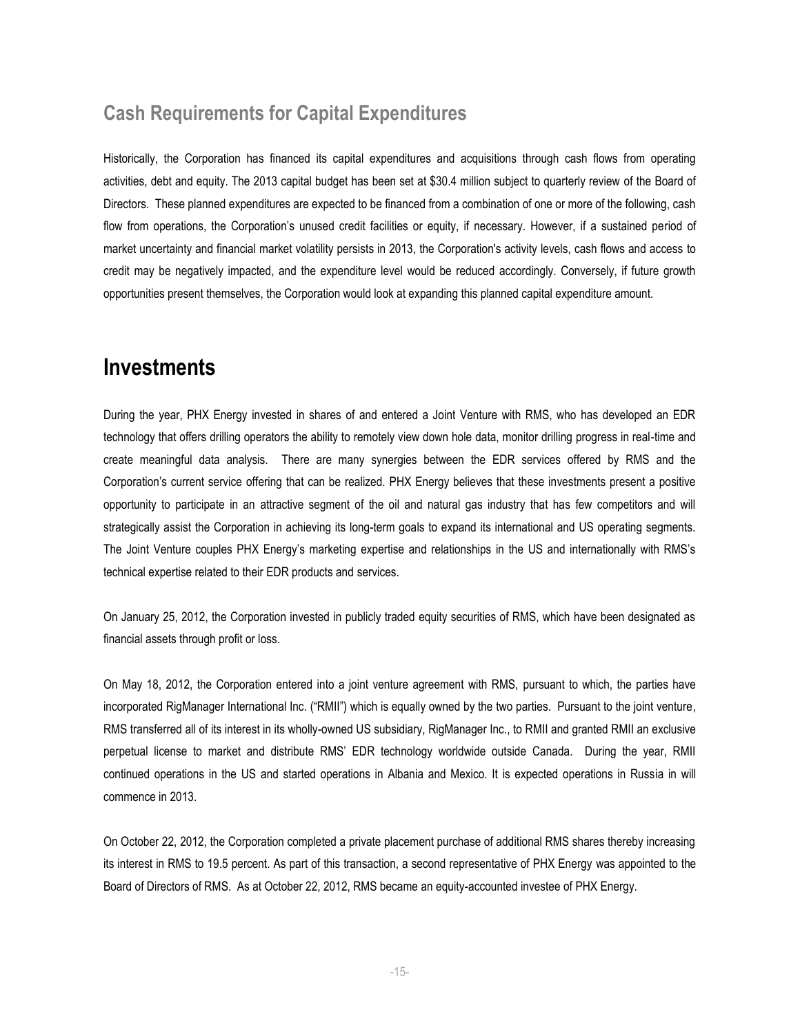#### **Cash Requirements for Capital Expenditures**

Historically, the Corporation has financed its capital expenditures and acquisitions through cash flows from operating activities, debt and equity. The 2013 capital budget has been set at \$30.4 million subject to quarterly review of the Board of Directors. These planned expenditures are expected to be financed from a combination of one or more of the following, cash flow from operations, the Corporation's unused credit facilities or equity, if necessary. However, if a sustained period of market uncertainty and financial market volatility persists in 2013, the Corporation's activity levels, cash flows and access to credit may be negatively impacted, and the expenditure level would be reduced accordingly. Conversely, if future growth opportunities present themselves, the Corporation would look at expanding this planned capital expenditure amount.

#### **Investments**

During the year, PHX Energy invested in shares of and entered a Joint Venture with RMS, who has developed an EDR technology that offers drilling operators the ability to remotely view down hole data, monitor drilling progress in real-time and create meaningful data analysis. There are many synergies between the EDR services offered by RMS and the Corporation's current service offering that can be realized. PHX Energy believes that these investments present a positive opportunity to participate in an attractive segment of the oil and natural gas industry that has few competitors and will strategically assist the Corporation in achieving its long-term goals to expand its international and US operating segments. The Joint Venture couples PHX Energy's marketing expertise and relationships in the US and internationally with RMS's technical expertise related to their EDR products and services.

On January 25, 2012, the Corporation invested in publicly traded equity securities of RMS, which have been designated as financial assets through profit or loss.

On May 18, 2012, the Corporation entered into a joint venture agreement with RMS, pursuant to which, the parties have incorporated RigManager International Inc. ("RMII") which is equally owned by the two parties. Pursuant to the joint venture, RMS transferred all of its interest in its wholly-owned US subsidiary, RigManager Inc., to RMII and granted RMII an exclusive perpetual license to market and distribute RMS' EDR technology worldwide outside Canada. During the year, RMII continued operations in the US and started operations in Albania and Mexico. It is expected operations in Russia in will commence in 2013.

On October 22, 2012, the Corporation completed a private placement purchase of additional RMS shares thereby increasing its interest in RMS to 19.5 percent. As part of this transaction, a second representative of PHX Energy was appointed to the Board of Directors of RMS. As at October 22, 2012, RMS became an equity-accounted investee of PHX Energy.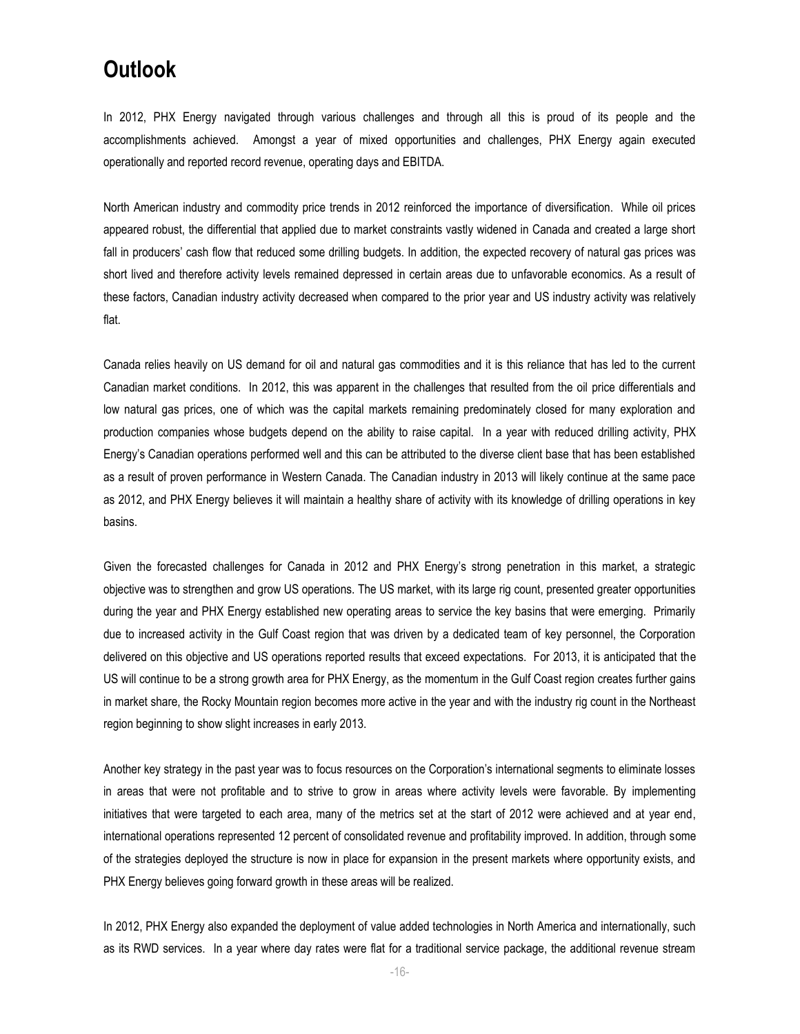#### **Outlook**

In 2012, PHX Energy navigated through various challenges and through all this is proud of its people and the accomplishments achieved. Amongst a year of mixed opportunities and challenges, PHX Energy again executed operationally and reported record revenue, operating days and EBITDA.

North American industry and commodity price trends in 2012 reinforced the importance of diversification. While oil prices appeared robust, the differential that applied due to market constraints vastly widened in Canada and created a large short fall in producers' cash flow that reduced some drilling budgets. In addition, the expected recovery of natural gas prices was short lived and therefore activity levels remained depressed in certain areas due to unfavorable economics. As a result of these factors, Canadian industry activity decreased when compared to the prior year and US industry activity was relatively flat.

Canada relies heavily on US demand for oil and natural gas commodities and it is this reliance that has led to the current Canadian market conditions. In 2012, this was apparent in the challenges that resulted from the oil price differentials and low natural gas prices, one of which was the capital markets remaining predominately closed for many exploration and production companies whose budgets depend on the ability to raise capital. In a year with reduced drilling activity, PHX Energy's Canadian operations performed well and this can be attributed to the diverse client base that has been established as a result of proven performance in Western Canada. The Canadian industry in 2013 will likely continue at the same pace as 2012, and PHX Energy believes it will maintain a healthy share of activity with its knowledge of drilling operations in key basins.

Given the forecasted challenges for Canada in 2012 and PHX Energy's strong penetration in this market, a strategic objective was to strengthen and grow US operations. The US market, with its large rig count, presented greater opportunities during the year and PHX Energy established new operating areas to service the key basins that were emerging. Primarily due to increased activity in the Gulf Coast region that was driven by a dedicated team of key personnel, the Corporation delivered on this objective and US operations reported results that exceed expectations. For 2013, it is anticipated that the US will continue to be a strong growth area for PHX Energy, as the momentum in the Gulf Coast region creates further gains in market share, the Rocky Mountain region becomes more active in the year and with the industry rig count in the Northeast region beginning to show slight increases in early 2013.

Another key strategy in the past year was to focus resources on the Corporation's international segments to eliminate losses in areas that were not profitable and to strive to grow in areas where activity levels were favorable. By implementing initiatives that were targeted to each area, many of the metrics set at the start of 2012 were achieved and at year end, international operations represented 12 percent of consolidated revenue and profitability improved. In addition, through some of the strategies deployed the structure is now in place for expansion in the present markets where opportunity exists, and PHX Energy believes going forward growth in these areas will be realized.

In 2012, PHX Energy also expanded the deployment of value added technologies in North America and internationally, such as its RWD services. In a year where day rates were flat for a traditional service package, the additional revenue stream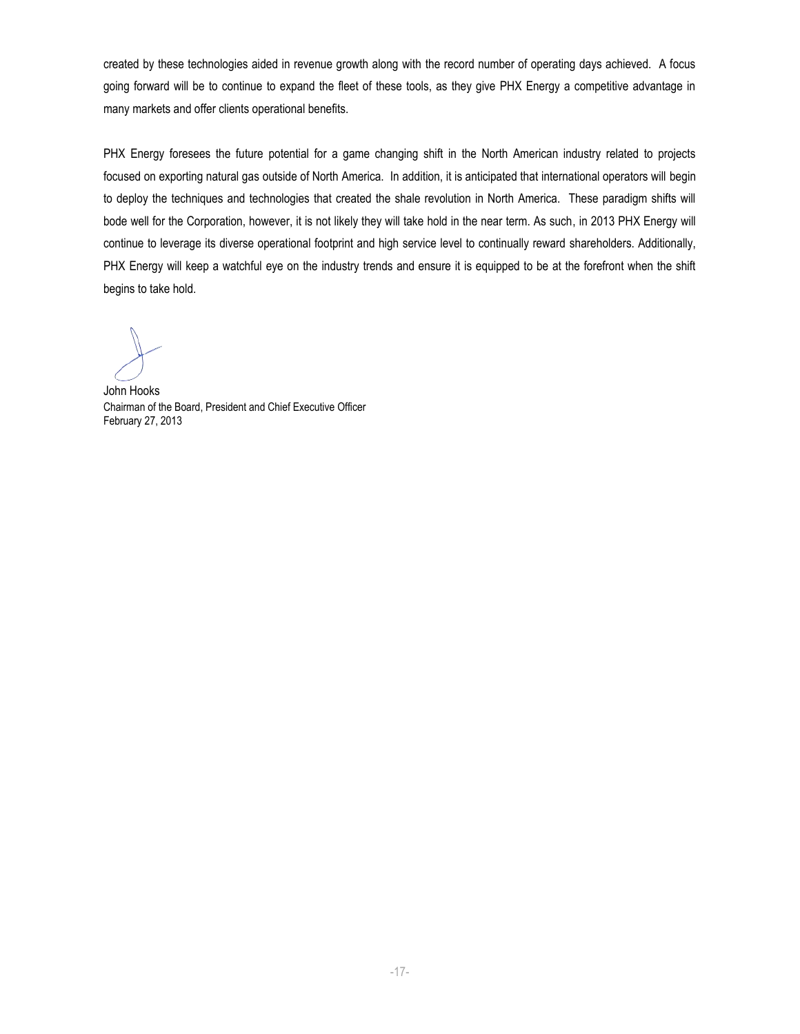created by these technologies aided in revenue growth along with the record number of operating days achieved. A focus going forward will be to continue to expand the fleet of these tools, as they give PHX Energy a competitive advantage in many markets and offer clients operational benefits.

PHX Energy foresees the future potential for a game changing shift in the North American industry related to projects focused on exporting natural gas outside of North America. In addition, it is anticipated that international operators will begin to deploy the techniques and technologies that created the shale revolution in North America. These paradigm shifts will bode well for the Corporation, however, it is not likely they will take hold in the near term. As such, in 2013 PHX Energy will continue to leverage its diverse operational footprint and high service level to continually reward shareholders. Additionally, PHX Energy will keep a watchful eye on the industry trends and ensure it is equipped to be at the forefront when the shift begins to take hold.

John Hooks Chairman of the Board, President and Chief Executive Officer February 27, 2013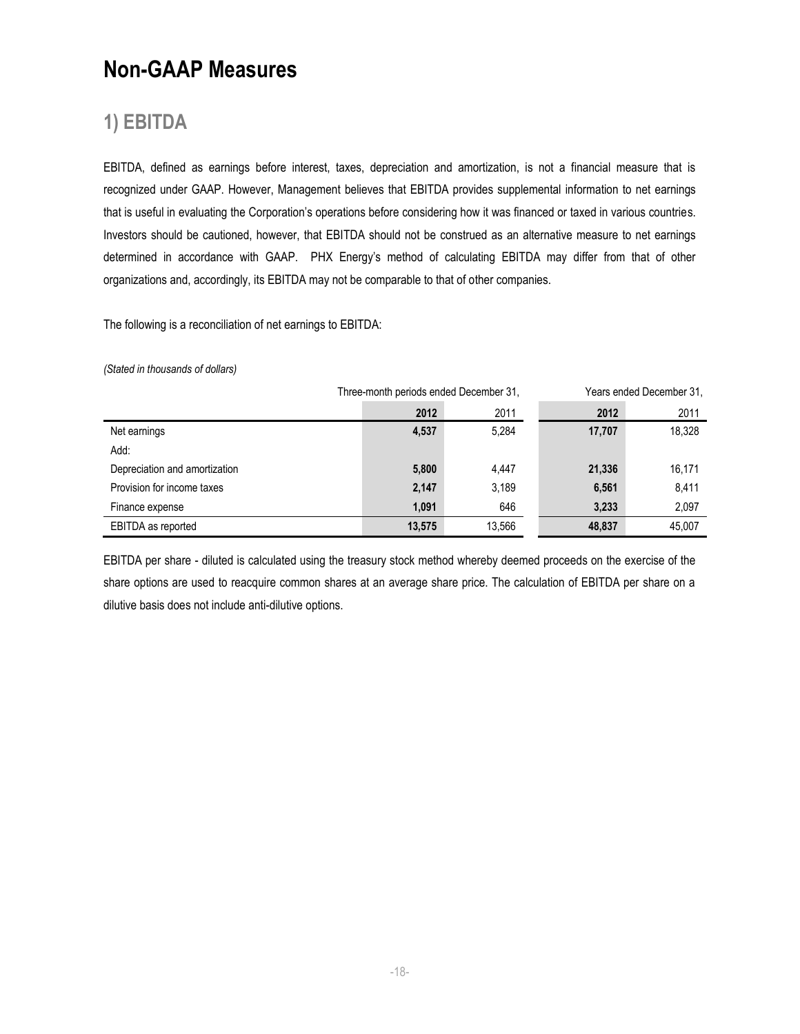## **Non-GAAP Measures**

### **1) EBITDA**

EBITDA, defined as earnings before interest, taxes, depreciation and amortization, is not a financial measure that is recognized under GAAP. However, Management believes that EBITDA provides supplemental information to net earnings that is useful in evaluating the Corporation's operations before considering how it was financed or taxed in various countries. Investors should be cautioned, however, that EBITDA should not be construed as an alternative measure to net earnings determined in accordance with GAAP. PHX Energy's method of calculating EBITDA may differ from that of other organizations and, accordingly, its EBITDA may not be comparable to that of other companies.

The following is a reconciliation of net earnings to EBITDA:

*(Stated in thousands of dollars)*

|                               | Three-month periods ended December 31. |        | Years ended December 31, |        |  |
|-------------------------------|----------------------------------------|--------|--------------------------|--------|--|
|                               | 2012                                   | 2011   | 2012                     | 2011   |  |
| Net earnings                  | 4,537                                  | 5.284  | 17,707                   | 18,328 |  |
| Add:                          |                                        |        |                          |        |  |
| Depreciation and amortization | 5,800                                  | 4,447  | 21,336                   | 16,171 |  |
| Provision for income taxes    | 2,147                                  | 3,189  | 6,561                    | 8,411  |  |
| Finance expense               | 1.091                                  | 646    | 3,233                    | 2,097  |  |
| EBITDA as reported            | 13,575                                 | 13.566 | 48,837                   | 45,007 |  |

EBITDA per share - diluted is calculated using the treasury stock method whereby deemed proceeds on the exercise of the share options are used to reacquire common shares at an average share price. The calculation of EBITDA per share on a dilutive basis does not include anti-dilutive options.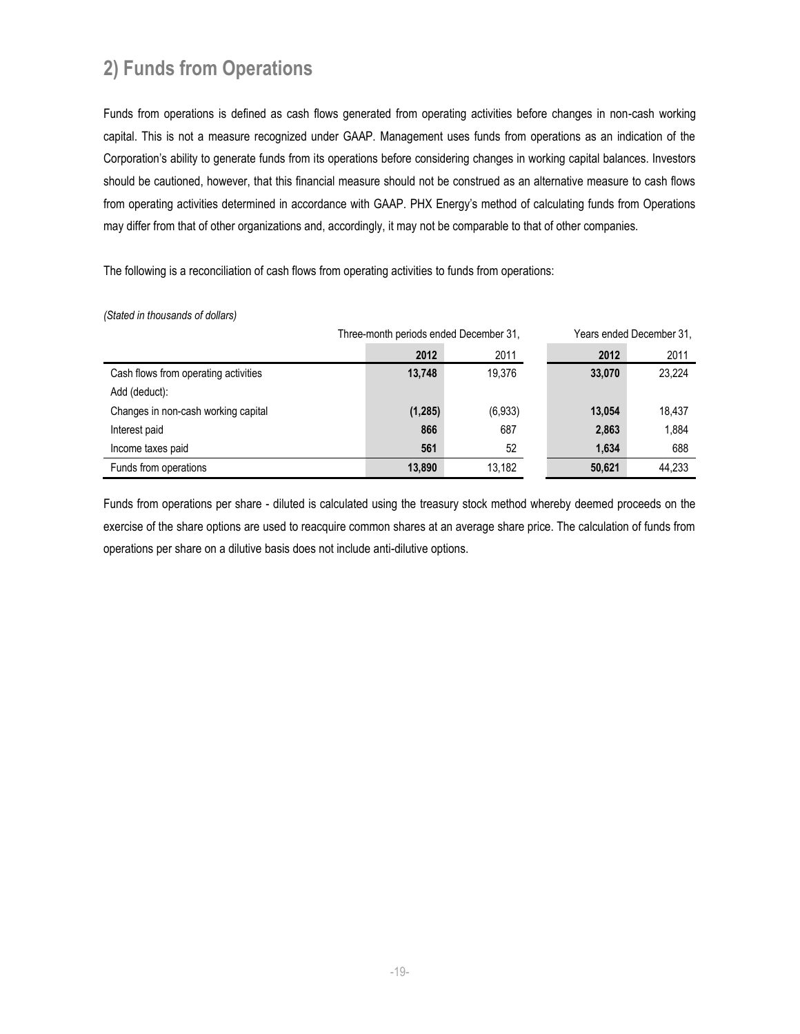## **2) Funds from Operations**

Funds from operations is defined as cash flows generated from operating activities before changes in non-cash working capital. This is not a measure recognized under GAAP. Management uses funds from operations as an indication of the Corporation's ability to generate funds from its operations before considering changes in working capital balances. Investors should be cautioned, however, that this financial measure should not be construed as an alternative measure to cash flows from operating activities determined in accordance with GAAP. PHX Energy's method of calculating funds from Operations may differ from that of other organizations and, accordingly, it may not be comparable to that of other companies.

The following is a reconciliation of cash flows from operating activities to funds from operations:

|                                      | Three-month periods ended December 31, | Years ended December 31, |        |        |  |
|--------------------------------------|----------------------------------------|--------------------------|--------|--------|--|
|                                      | 2012                                   | 2011                     | 2012   | 2011   |  |
| Cash flows from operating activities | 13,748                                 | 19.376                   | 33,070 | 23,224 |  |
| Add (deduct):                        |                                        |                          |        |        |  |
| Changes in non-cash working capital  | (1, 285)                               | (6,933)                  | 13,054 | 18,437 |  |
| Interest paid                        | 866                                    | 687                      | 2,863  | 1,884  |  |
| Income taxes paid                    | 561                                    | 52                       | 1,634  | 688    |  |
| Funds from operations                | 13,890                                 | 13.182                   | 50,621 | 44,233 |  |

*(Stated in thousands of dollars)*

Funds from operations per share - diluted is calculated using the treasury stock method whereby deemed proceeds on the exercise of the share options are used to reacquire common shares at an average share price. The calculation of funds from operations per share on a dilutive basis does not include anti-dilutive options.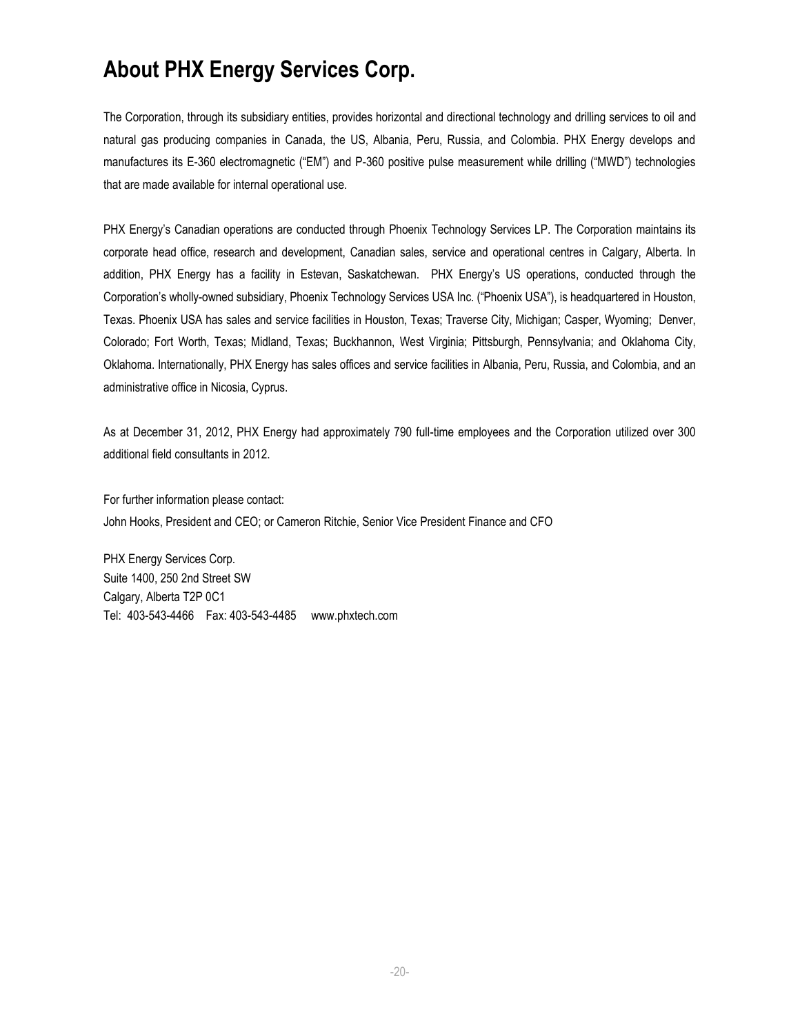## **About PHX Energy Services Corp.**

The Corporation, through its subsidiary entities, provides horizontal and directional technology and drilling services to oil and natural gas producing companies in Canada, the US, Albania, Peru, Russia, and Colombia. PHX Energy develops and manufactures its E-360 electromagnetic ("EM") and P-360 positive pulse measurement while drilling ("MWD") technologies that are made available for internal operational use.

PHX Energy's Canadian operations are conducted through Phoenix Technology Services LP. The Corporation maintains its corporate head office, research and development, Canadian sales, service and operational centres in Calgary, Alberta. In addition, PHX Energy has a facility in Estevan, Saskatchewan. PHX Energy's US operations, conducted through the Corporation's wholly-owned subsidiary, Phoenix Technology Services USA Inc. ("Phoenix USA"), is headquartered in Houston, Texas. Phoenix USA has sales and service facilities in Houston, Texas; Traverse City, Michigan; Casper, Wyoming; Denver, Colorado; Fort Worth, Texas; Midland, Texas; Buckhannon, West Virginia; Pittsburgh, Pennsylvania; and Oklahoma City, Oklahoma. Internationally, PHX Energy has sales offices and service facilities in Albania, Peru, Russia, and Colombia, and an administrative office in Nicosia, Cyprus.

As at December 31, 2012, PHX Energy had approximately 790 full-time employees and the Corporation utilized over 300 additional field consultants in 2012.

For further information please contact: John Hooks, President and CEO; or Cameron Ritchie, Senior Vice President Finance and CFO

PHX Energy Services Corp. Suite 1400, 250 2nd Street SW Calgary, Alberta T2P 0C1 Tel: 403-543-4466 Fax: 403-543-4485 [www.phxtech.com](http://www.phoenixcan.com/)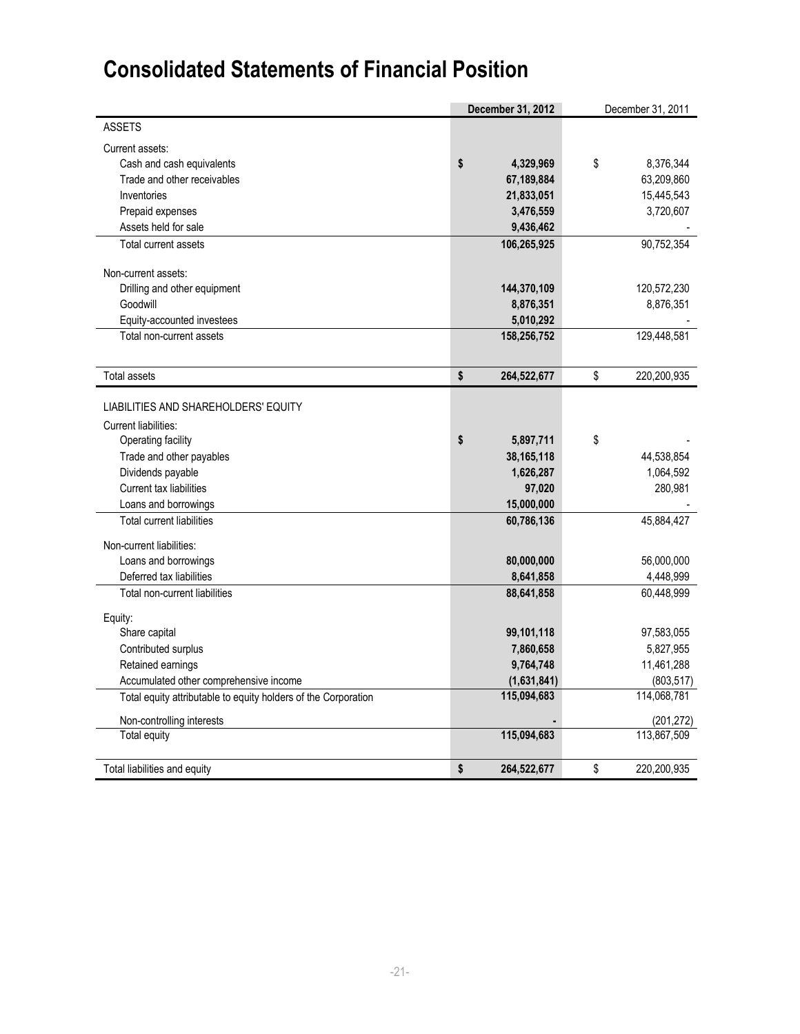# **Consolidated Statements of Financial Position**

|                                                                | December 31, 2012 | December 31, 2011 |             |  |
|----------------------------------------------------------------|-------------------|-------------------|-------------|--|
| <b>ASSETS</b>                                                  |                   |                   |             |  |
| Current assets:                                                |                   |                   |             |  |
| Cash and cash equivalents                                      | \$<br>4,329,969   | \$                | 8,376,344   |  |
| Trade and other receivables                                    | 67,189,884        |                   | 63,209,860  |  |
| Inventories                                                    | 21,833,051        |                   | 15,445,543  |  |
| Prepaid expenses                                               | 3,476,559         |                   | 3,720,607   |  |
| Assets held for sale                                           | 9,436,462         |                   |             |  |
| Total current assets                                           | 106,265,925       |                   | 90,752,354  |  |
| Non-current assets:                                            |                   |                   |             |  |
| Drilling and other equipment                                   | 144,370,109       |                   | 120,572,230 |  |
| Goodwill                                                       | 8,876,351         |                   | 8,876,351   |  |
| Equity-accounted investees                                     | 5,010,292         |                   |             |  |
| Total non-current assets                                       | 158,256,752       |                   | 129,448,581 |  |
| <b>Total assets</b>                                            | \$<br>264,522,677 | \$                | 220,200,935 |  |
| LIABILITIES AND SHAREHOLDERS' EQUITY                           |                   |                   |             |  |
|                                                                |                   |                   |             |  |
| Current liabilities:<br>Operating facility                     | \$<br>5,897,711   | \$                |             |  |
| Trade and other payables                                       | 38,165,118        |                   | 44,538,854  |  |
| Dividends payable                                              | 1,626,287         |                   | 1,064,592   |  |
| Current tax liabilities                                        | 97,020            |                   | 280,981     |  |
| Loans and borrowings                                           | 15,000,000        |                   |             |  |
| <b>Total current liabilities</b>                               | 60,786,136        |                   | 45,884,427  |  |
| Non-current liabilities:                                       |                   |                   |             |  |
| Loans and borrowings                                           | 80,000,000        |                   | 56,000,000  |  |
| Deferred tax liabilities                                       | 8,641,858         |                   | 4,448,999   |  |
| Total non-current liabilities                                  | 88,641,858        |                   | 60,448,999  |  |
| Equity:                                                        |                   |                   |             |  |
| Share capital                                                  | 99,101,118        |                   | 97,583,055  |  |
| Contributed surplus                                            | 7,860,658         |                   | 5,827,955   |  |
| Retained earnings                                              | 9,764,748         |                   | 11,461,288  |  |
| Accumulated other comprehensive income                         | (1,631,841)       |                   | (803, 517)  |  |
| Total equity attributable to equity holders of the Corporation | 115,094,683       |                   | 114,068,781 |  |
| Non-controlling interests                                      |                   |                   | (201, 272)  |  |
| Total equity                                                   | 115,094,683       |                   | 113,867,509 |  |
| Total liabilities and equity                                   | \$<br>264,522,677 | \$                | 220,200,935 |  |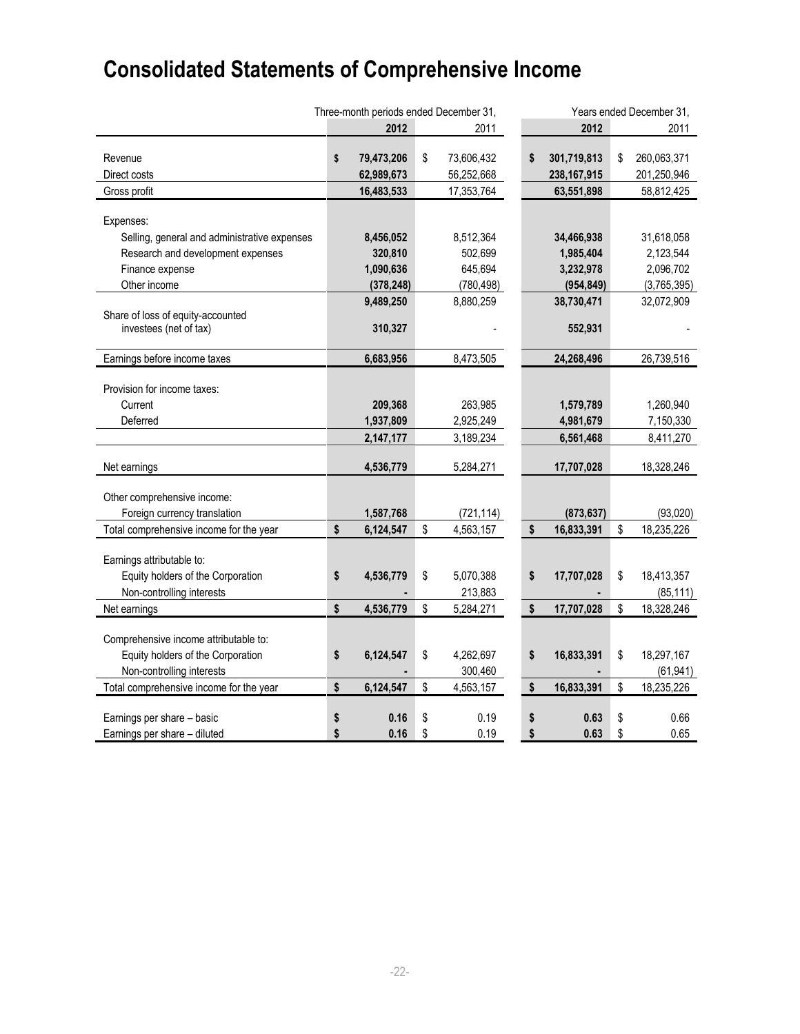# **Consolidated Statements of Comprehensive Income**

|                                                             | Three-month periods ended December 31, |            | Years ended December 31, |    |               |    |             |
|-------------------------------------------------------------|----------------------------------------|------------|--------------------------|----|---------------|----|-------------|
|                                                             |                                        | 2012       | 2011                     |    | 2012          |    | 2011        |
|                                                             |                                        |            |                          |    |               |    |             |
| Revenue                                                     | \$                                     | 79,473,206 | \$<br>73,606,432         | \$ | 301,719,813   | \$ | 260,063,371 |
| Direct costs                                                |                                        | 62,989,673 | 56,252,668               |    | 238, 167, 915 |    | 201,250,946 |
| Gross profit                                                |                                        | 16,483,533 | 17,353,764               |    | 63,551,898    |    | 58,812,425  |
|                                                             |                                        |            |                          |    |               |    |             |
| Expenses:                                                   |                                        |            |                          |    |               |    |             |
| Selling, general and administrative expenses                |                                        | 8,456,052  | 8,512,364                |    | 34,466,938    |    | 31,618,058  |
| Research and development expenses                           |                                        | 320,810    | 502,699                  |    | 1,985,404     |    | 2,123,544   |
| Finance expense                                             |                                        | 1,090,636  | 645,694                  |    | 3,232,978     |    | 2,096,702   |
| Other income                                                |                                        | (378, 248) | (780, 498)               |    | (954, 849)    |    | (3,765,395) |
|                                                             |                                        | 9,489,250  | 8,880,259                |    | 38,730,471    |    | 32,072,909  |
| Share of loss of equity-accounted<br>investees (net of tax) |                                        | 310,327    |                          |    | 552,931       |    |             |
|                                                             |                                        |            |                          |    |               |    |             |
| Earnings before income taxes                                |                                        | 6,683,956  | 8,473,505                |    | 24,268,496    |    | 26,739,516  |
|                                                             |                                        |            |                          |    |               |    |             |
| Provision for income taxes:                                 |                                        |            |                          |    |               |    |             |
| Current                                                     |                                        | 209,368    | 263,985                  |    | 1,579,789     |    | 1,260,940   |
| Deferred                                                    |                                        | 1,937,809  | 2,925,249                |    | 4,981,679     |    | 7,150,330   |
|                                                             |                                        | 2,147,177  | 3,189,234                |    | 6,561,468     |    | 8,411,270   |
|                                                             |                                        |            |                          |    |               |    |             |
| Net earnings                                                |                                        | 4,536,779  | 5,284,271                |    | 17,707,028    |    | 18,328,246  |
|                                                             |                                        |            |                          |    |               |    |             |
| Other comprehensive income:                                 |                                        |            |                          |    |               |    |             |
| Foreign currency translation                                |                                        | 1,587,768  | (721, 114)               |    | (873, 637)    |    | (93,020)    |
| Total comprehensive income for the year                     | \$                                     | 6,124,547  | \$<br>4,563,157          | \$ | 16,833,391    | \$ | 18,235,226  |
|                                                             |                                        |            |                          |    |               |    |             |
| Earnings attributable to:                                   |                                        |            |                          |    |               |    |             |
| Equity holders of the Corporation                           | \$                                     | 4,536,779  | \$<br>5,070,388          | \$ | 17,707,028    | \$ | 18,413,357  |
| Non-controlling interests                                   |                                        |            | 213,883                  |    |               |    | (85, 111)   |
| Net earnings                                                | \$                                     | 4,536,779  | \$<br>5,284,271          | \$ | 17,707,028    | \$ | 18,328,246  |
| Comprehensive income attributable to:                       |                                        |            |                          |    |               |    |             |
| Equity holders of the Corporation                           | \$                                     | 6,124,547  | \$<br>4,262,697          | \$ | 16,833,391    | \$ | 18,297,167  |
| Non-controlling interests                                   |                                        |            | 300,460                  |    |               |    | (61, 941)   |
|                                                             | \$                                     | 6,124,547  | \$<br>4,563,157          | \$ | 16,833,391    | \$ | 18,235,226  |
| Total comprehensive income for the year                     |                                        |            |                          |    |               |    |             |
| Earnings per share - basic                                  |                                        | 0.16       | \$<br>0.19               | \$ | 0.63          | \$ | 0.66        |
| Earnings per share - diluted                                | \$<br>\$                               | 0.16       | \$<br>0.19               | \$ | 0.63          | \$ | 0.65        |
|                                                             |                                        |            |                          |    |               |    |             |